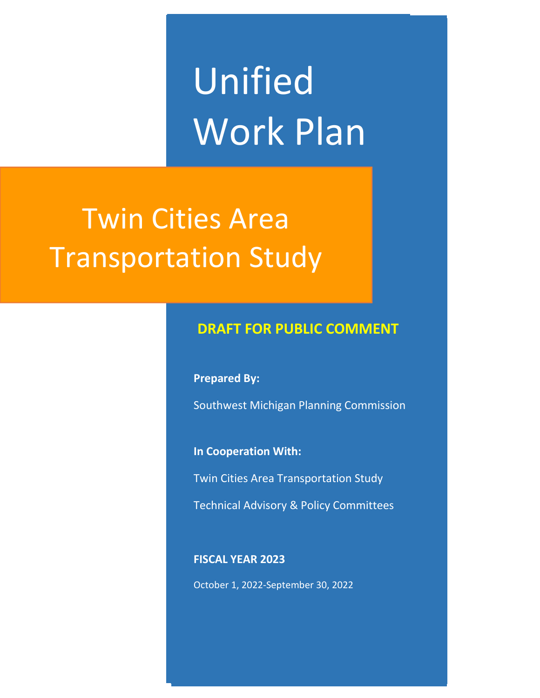Unified Work Plan

# Twin Cities Area Transportation Study

# **DRAFT FOR PUBLIC COMMENT**

**Prepared By:**

Southwest Michigan Planning Commission

**In Cooperation With:**

Twin Cities Area Transportation Study

Technical Advisory & Policy Committees

#### **FISCAL YEAR 2023**

October 1, 2022-September 30, 2022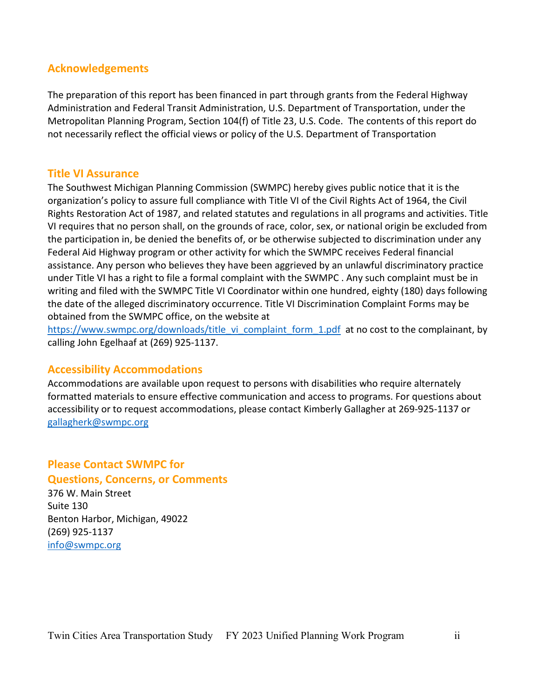#### **Acknowledgements**

The preparation of this report has been financed in part through grants from the Federal Highway Administration and Federal Transit Administration, U.S. Department of Transportation, under the Metropolitan Planning Program, Section 104(f) of Title 23, U.S. Code. The contents of this report do not necessarily reflect the official views or policy of the U.S. Department of Transportation

#### **Title VI Assurance**

The Southwest Michigan Planning Commission (SWMPC) hereby gives public notice that it is the organization's policy to assure full compliance with Title VI of the Civil Rights Act of 1964, the Civil Rights Restoration Act of 1987, and related statutes and regulations in all programs and activities. Title VI requires that no person shall, on the grounds of race, color, sex, or national origin be excluded from the participation in, be denied the benefits of, or be otherwise subjected to discrimination under any Federal Aid Highway program or other activity for which the SWMPC receives Federal financial assistance. Any person who believes they have been aggrieved by an unlawful discriminatory practice under Title VI has a right to file a formal complaint with the SWMPC . Any such complaint must be in writing and filed with the SWMPC Title VI Coordinator within one hundred, eighty (180) days following the date of the alleged discriminatory occurrence. Title VI Discrimination Complaint Forms may be obtained from the SWMPC office, on the website at

https://www.swmpc.org/downloads/title\_vi\_complaint\_form\_1.pdf at no cost to the complainant, by calling John Egelhaaf at (269) 925-1137.

#### **Accessibility Accommodations**

Accommodations are available upon request to persons with disabilities who require alternately formatted materials to ensure effective communication and access to programs. For questions about accessibility or to request accommodations, please contact Kimberly Gallagher at 269-925-1137 or gallagherk@swmpc.org

### **Please Contact SWMPC for Questions, Concerns, or Comments**

376 W. Main Street Suite 130 Benton Harbor, Michigan, 49022 (269) 925-1137 info@swmpc.org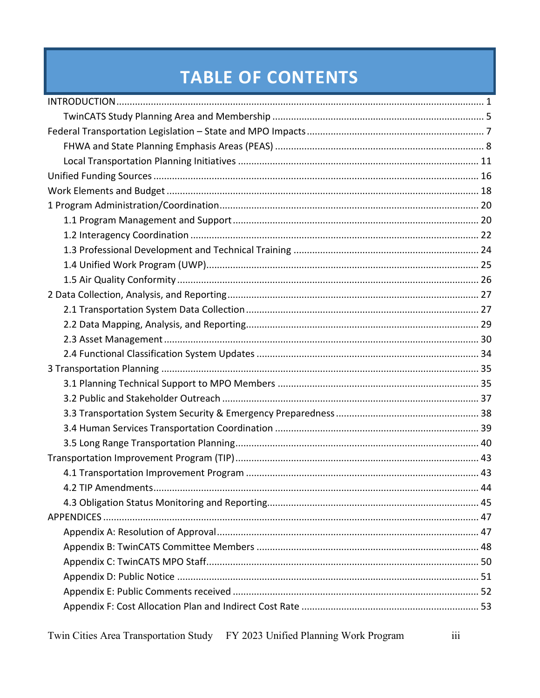# **TABLE OF CONTENTS**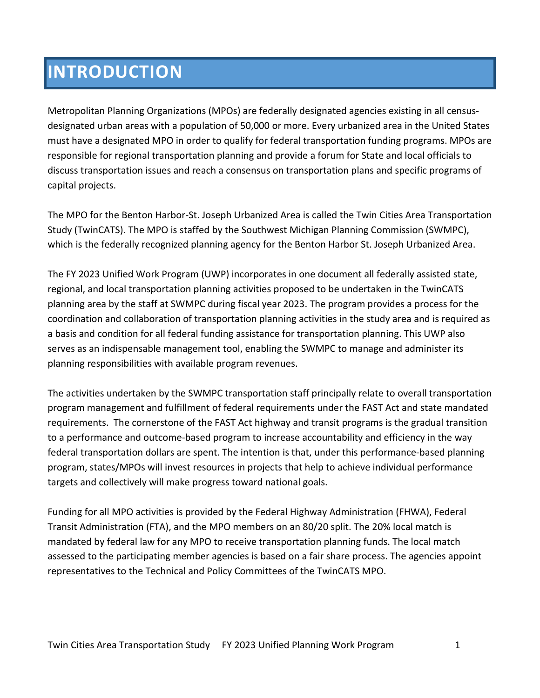# **INTRODUCTION**

Metropolitan Planning Organizations (MPOs) are federally designated agencies existing in all censusdesignated urban areas with a population of 50,000 or more. Every urbanized area in the United States must have a designated MPO in order to qualify for federal transportation funding programs. MPOs are responsible for regional transportation planning and provide a forum for State and local officials to discuss transportation issues and reach a consensus on transportation plans and specific programs of capital projects.

The MPO for the Benton Harbor-St. Joseph Urbanized Area is called the Twin Cities Area Transportation Study (TwinCATS). The MPO is staffed by the Southwest Michigan Planning Commission (SWMPC), which is the federally recognized planning agency for the Benton Harbor St. Joseph Urbanized Area.

The FY 2023 Unified Work Program (UWP) incorporates in one document all federally assisted state, regional, and local transportation planning activities proposed to be undertaken in the TwinCATS planning area by the staff at SWMPC during fiscal year 2023. The program provides a process for the coordination and collaboration of transportation planning activities in the study area and is required as a basis and condition for all federal funding assistance for transportation planning. This UWP also serves as an indispensable management tool, enabling the SWMPC to manage and administer its planning responsibilities with available program revenues.

The activities undertaken by the SWMPC transportation staff principally relate to overall transportation program management and fulfillment of federal requirements under the FAST Act and state mandated requirements. The cornerstone of the FAST Act highway and transit programs is the gradual transition to a performance and outcome-based program to increase accountability and efficiency in the way federal transportation dollars are spent. The intention is that, under this performance-based planning program, states/MPOs will invest resources in projects that help to achieve individual performance targets and collectively will make progress toward national goals.

Funding for all MPO activities is provided by the Federal Highway Administration (FHWA), Federal Transit Administration (FTA), and the MPO members on an 80/20 split. The 20% local match is mandated by federal law for any MPO to receive transportation planning funds. The local match assessed to the participating member agencies is based on a fair share process. The agencies appoint representatives to the Technical and Policy Committees of the TwinCATS MPO.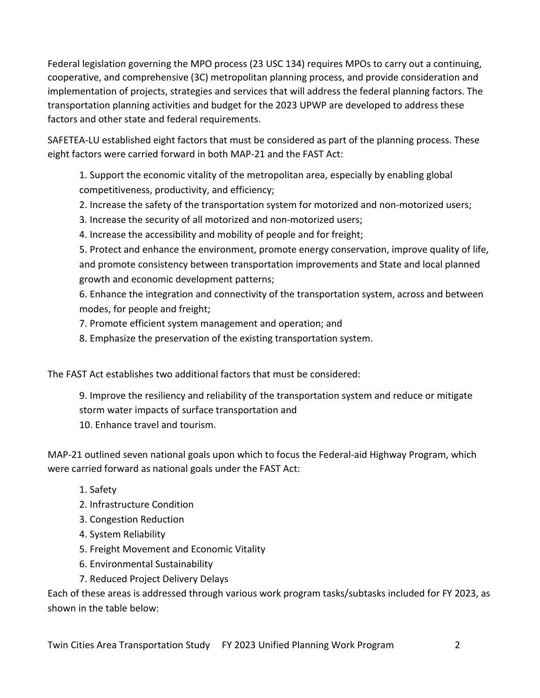Federal legislation governing the MPO process (23 USC 134) requires MPOs to carry out a continuing, cooperative, and comprehensive (3C) metropolitan planning process, and provide consideration and implementation of projects, strategies and services that will address the federal planning factors. The transportation planning activities and budget for the 2023 UPWP are developed to address these factors and other state and federal requirements.

SAFETEA-LU established eight factors that must be considered as part of the planning process. These eight factors were carried forward in both MAP-21 and the FAST Act:

1. Support the economic vitality of the metropolitan area, especially by enabling global competitiveness, productivity, and efficiency;

- 2. Increase the safety of the transportation system for motorized and non-motorized users;
- 3. Increase the security of all motorized and non-motorized users;
- 4. Increase the accessibility and mobility of people and for freight;

5. Protect and enhance the environment, promote energy conservation, improve quality of life, and promote consistency between transportation improvements and State and local planned growth and economic development patterns;

6. Enhance the integration and connectivity of the transportation system, across and between modes, for people and freight;

- 7. Promote efficient system management and operation; and
- 8. Emphasize the preservation of the existing transportation system.

The FAST Act establishes two additional factors that must be considered:

9. Improve the resiliency and reliability of the transportation system and reduce or mitigate storm water impacts of surface transportation and 10. Enhance travel and tourism.

MAP-21 outlined seven national goals upon which to focus the Federal-aid Highway Program, which were carried forward as national goals under the FAST Act:

- 1. Safety
- 2. Infrastructure Condition
- 3. Congestion Reduction
- 4. System Reliability
- 5. Freight Movement and Economic Vitality
- 6. Environmental Sustainability
- 7. Reduced Project Delivery Delays

Each of these areas is addressed through various work program tasks/subtasks included for FY 2023, as shown in the table below: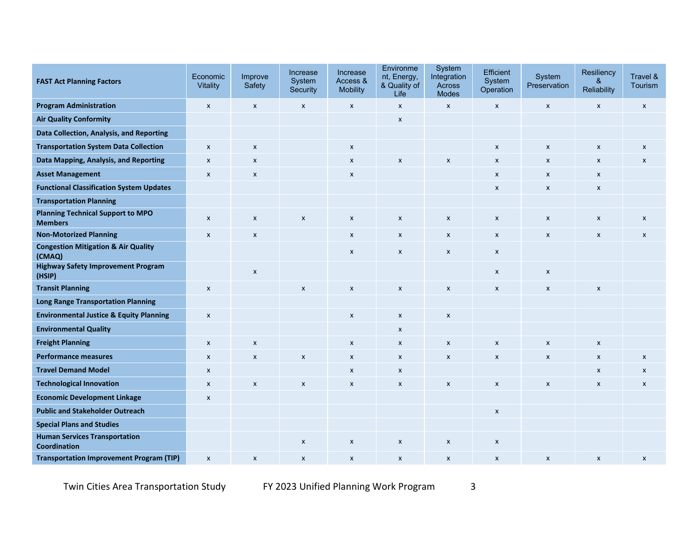| <b>FAST Act Planning Factors</b>                            | Economic<br><b>Vitality</b> | Improve<br>Safety         | Increase<br>System<br>Security | Increase<br>Access &<br><b>Mobility</b> | Environme<br>nt, Energy,<br>& Quality of<br>Life | System<br>Integration<br><b>Across</b><br><b>Modes</b> | Efficient<br>System<br>Operation | System<br>Preservation | Resiliency<br>&<br>Reliability | Travel &<br>Tourism       |
|-------------------------------------------------------------|-----------------------------|---------------------------|--------------------------------|-----------------------------------------|--------------------------------------------------|--------------------------------------------------------|----------------------------------|------------------------|--------------------------------|---------------------------|
| <b>Program Administration</b>                               | $\pmb{\chi}$                | $\pmb{\chi}$              | X                              | $\pmb{\chi}$                            | $\pmb{\mathsf{X}}$                               | $\pmb{\mathsf{x}}$                                     | $\pmb{\mathsf{X}}$               | $\pmb{\mathsf{x}}$     | X                              | $\pmb{\mathsf{x}}$        |
| <b>Air Quality Conformity</b>                               |                             |                           |                                |                                         | $\boldsymbol{x}$                                 |                                                        |                                  |                        |                                |                           |
| Data Collection, Analysis, and Reporting                    |                             |                           |                                |                                         |                                                  |                                                        |                                  |                        |                                |                           |
| <b>Transportation System Data Collection</b>                | $\boldsymbol{\mathsf{x}}$   | $\boldsymbol{\mathsf{x}}$ |                                | $\boldsymbol{\mathsf{x}}$               |                                                  |                                                        | $\boldsymbol{\mathsf{x}}$        | X                      | $\pmb{\chi}$                   | $\pmb{\chi}$              |
| Data Mapping, Analysis, and Reporting                       | $\pmb{\chi}$                | $\boldsymbol{\mathsf{x}}$ |                                | $\pmb{\chi}$                            | X                                                | $\pmb{\times}$                                         | $\pmb{\times}$                   | $\pmb{\times}$         | X                              | $\boldsymbol{\mathsf{x}}$ |
| <b>Asset Management</b>                                     | $\pmb{\mathsf{X}}$          | $\pmb{\mathsf{X}}$        |                                | $\pmb{\times}$                          |                                                  |                                                        | $\pmb{\mathsf{x}}$               | X                      | X                              |                           |
| <b>Functional Classification System Updates</b>             |                             |                           |                                |                                         |                                                  |                                                        | $\pmb{\mathsf{x}}$               | X                      | X                              |                           |
| <b>Transportation Planning</b>                              |                             |                           |                                |                                         |                                                  |                                                        |                                  |                        |                                |                           |
| <b>Planning Technical Support to MPO</b><br><b>Members</b>  | $\boldsymbol{\mathsf{x}}$   | $\boldsymbol{\mathsf{x}}$ | $\boldsymbol{x}$               | X                                       | $\pmb{\mathsf{X}}$                               | X                                                      | $\pmb{\chi}$                     | X                      | $\pmb{\mathsf{X}}$             | $\boldsymbol{\mathsf{x}}$ |
| <b>Non-Motorized Planning</b>                               | $\pmb{\chi}$                | $\boldsymbol{\mathsf{x}}$ |                                | $\pmb{\chi}$                            | $\pmb{\mathsf{X}}$                               | $\pmb{\mathsf{x}}$                                     | X                                | $\mathsf{x}$           | X                              | $\mathsf{x}$              |
| <b>Congestion Mitigation &amp; Air Quality</b><br>(CMAQ)    |                             |                           |                                | $\pmb{\mathsf{x}}$                      | $\pmb{\mathsf{X}}$                               | X                                                      | $\pmb{\mathsf{x}}$               |                        |                                |                           |
| <b>Highway Safety Improvement Program</b><br>(HSIP)         |                             | $\pmb{\chi}$              |                                |                                         |                                                  |                                                        | X                                | $\pmb{\mathsf{x}}$     |                                |                           |
| <b>Transit Planning</b>                                     | $\pmb{\times}$              |                           | $\boldsymbol{\mathsf{x}}$      | $\pmb{\chi}$                            | X                                                | $\pmb{\times}$                                         | X                                | X                      | $\pmb{\mathsf{X}}$             |                           |
| <b>Long Range Transportation Planning</b>                   |                             |                           |                                |                                         |                                                  |                                                        |                                  |                        |                                |                           |
| <b>Environmental Justice &amp; Equity Planning</b>          | $\boldsymbol{\mathsf{x}}$   |                           |                                | $\pmb{\chi}$                            | $\pmb{\chi}$                                     | $\pmb{\mathsf{x}}$                                     |                                  |                        |                                |                           |
| <b>Environmental Quality</b>                                |                             |                           |                                |                                         | X                                                |                                                        |                                  |                        |                                |                           |
| <b>Freight Planning</b>                                     | $\boldsymbol{\mathsf{x}}$   | $\pmb{\times}$            |                                | $\boldsymbol{x}$                        | $\pmb{\mathsf{x}}$                               | $\pmb{\times}$                                         | $\pmb{\chi}$                     | $\pmb{\times}$         | $\pmb{\chi}$                   |                           |
| <b>Performance measures</b>                                 | $\pmb{\mathsf{X}}$          | $\pmb{\mathsf{X}}$        | $\pmb{\mathsf{x}}$             | $\pmb{\mathsf{x}}$                      | $\pmb{\mathsf{x}}$                               | $\pmb{\mathsf{x}}$                                     | $\pmb{\mathsf{X}}$               | $\pmb{\mathsf{x}}$     | $\pmb{\times}$                 | $\pmb{\mathsf{x}}$        |
| <b>Travel Demand Model</b>                                  | $\boldsymbol{\mathsf{x}}$   |                           |                                | $\boldsymbol{\mathsf{x}}$               | X                                                |                                                        |                                  |                        | X                              | $\boldsymbol{\mathsf{x}}$ |
| <b>Technological Innovation</b>                             | $\boldsymbol{\mathsf{x}}$   | $\boldsymbol{\mathsf{x}}$ | $\boldsymbol{\mathsf{x}}$      | $\pmb{\chi}$                            | $\boldsymbol{x}$                                 | $\pmb{\times}$                                         | $\boldsymbol{\mathsf{x}}$        | X                      | X                              | $\boldsymbol{x}$          |
| <b>Economic Development Linkage</b>                         | $\pmb{\times}$              |                           |                                |                                         |                                                  |                                                        |                                  |                        |                                |                           |
| <b>Public and Stakeholder Outreach</b>                      |                             |                           |                                |                                         |                                                  |                                                        | $\pmb{\mathsf{X}}$               |                        |                                |                           |
| <b>Special Plans and Studies</b>                            |                             |                           |                                |                                         |                                                  |                                                        |                                  |                        |                                |                           |
| <b>Human Services Transportation</b><br><b>Coordination</b> |                             |                           | $\boldsymbol{\mathsf{x}}$      | $\boldsymbol{\mathsf{x}}$               | $\pmb{\mathsf{X}}$                               | X                                                      | $\pmb{\chi}$                     |                        |                                |                           |
| <b>Transportation Improvement Program (TIP)</b>             | $\boldsymbol{x}$            | $\boldsymbol{\mathsf{x}}$ | X                              | $\pmb{\chi}$                            | X                                                | $\pmb{\times}$                                         | X                                | X                      | X                              | $\boldsymbol{x}$          |

Twin Cities Area Transportation Study FY 2023 Unified Planning Work Program 3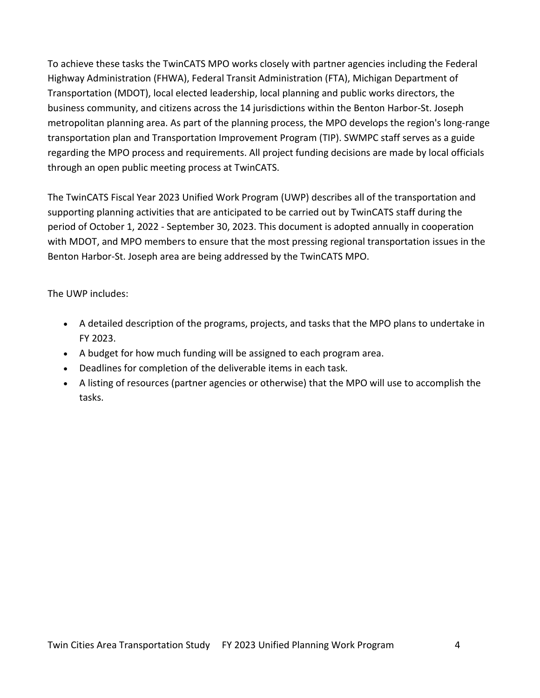To achieve these tasks the TwinCATS MPO works closely with partner agencies including the Federal Highway Administration (FHWA), Federal Transit Administration (FTA), Michigan Department of Transportation (MDOT), local elected leadership, local planning and public works directors, the business community, and citizens across the 14 jurisdictions within the Benton Harbor-St. Joseph metropolitan planning area. As part of the planning process, the MPO develops the region's long-range transportation plan and Transportation Improvement Program (TIP). SWMPC staff serves as a guide regarding the MPO process and requirements. All project funding decisions are made by local officials through an open public meeting process at TwinCATS.

The TwinCATS Fiscal Year 2023 Unified Work Program (UWP) describes all of the transportation and supporting planning activities that are anticipated to be carried out by TwinCATS staff during the period of October 1, 2022 - September 30, 2023. This document is adopted annually in cooperation with MDOT, and MPO members to ensure that the most pressing regional transportation issues in the Benton Harbor-St. Joseph area are being addressed by the TwinCATS MPO.

The UWP includes:

- A detailed description of the programs, projects, and tasks that the MPO plans to undertake in FY 2023.
- A budget for how much funding will be assigned to each program area.
- Deadlines for completion of the deliverable items in each task.
- A listing of resources (partner agencies or otherwise) that the MPO will use to accomplish the tasks.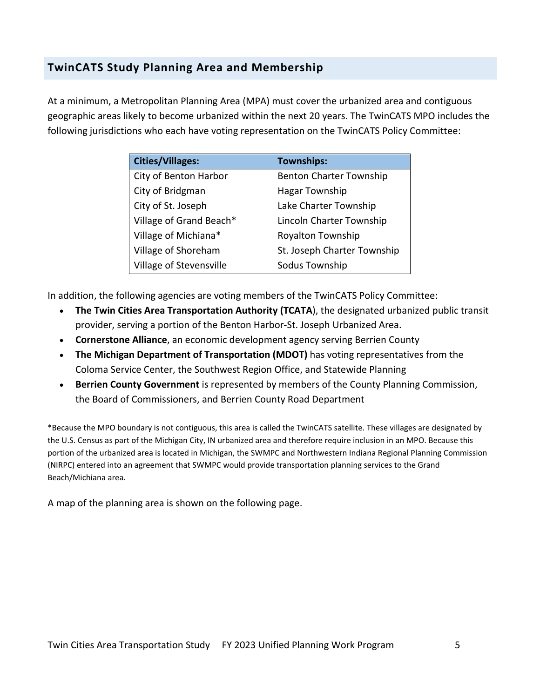# **TwinCATS Study Planning Area and Membership**

At a minimum, a Metropolitan Planning Area (MPA) must cover the urbanized area and contiguous geographic areas likely to become urbanized within the next 20 years. The TwinCATS MPO includes the following jurisdictions who each have voting representation on the TwinCATS Policy Committee:

| <b>Cities/Villages:</b> | <b>Townships:</b>              |
|-------------------------|--------------------------------|
| City of Benton Harbor   | <b>Benton Charter Township</b> |
| City of Bridgman        | Hagar Township                 |
| City of St. Joseph      | Lake Charter Township          |
| Village of Grand Beach* | Lincoln Charter Township       |
| Village of Michiana*    | Royalton Township              |
| Village of Shoreham     | St. Joseph Charter Township    |
| Village of Stevensville | Sodus Township                 |

In addition, the following agencies are voting members of the TwinCATS Policy Committee:

- **The Twin Cities Area Transportation Authority (TCATA**), the designated urbanized public transit provider, serving a portion of the Benton Harbor-St. Joseph Urbanized Area.
- **Cornerstone Alliance**, an economic development agency serving Berrien County
- **The Michigan Department of Transportation (MDOT)** has voting representatives from the Coloma Service Center, the Southwest Region Office, and Statewide Planning
- **Berrien County Government** is represented by members of the County Planning Commission, the Board of Commissioners, and Berrien County Road Department

\*Because the MPO boundary is not contiguous, this area is called the TwinCATS satellite. These villages are designated by the U.S. Census as part of the Michigan City, IN urbanized area and therefore require inclusion in an MPO. Because this portion of the urbanized area is located in Michigan, the SWMPC and Northwestern Indiana Regional Planning Commission (NIRPC) entered into an agreement that SWMPC would provide transportation planning services to the Grand Beach/Michiana area.

A map of the planning area is shown on the following page.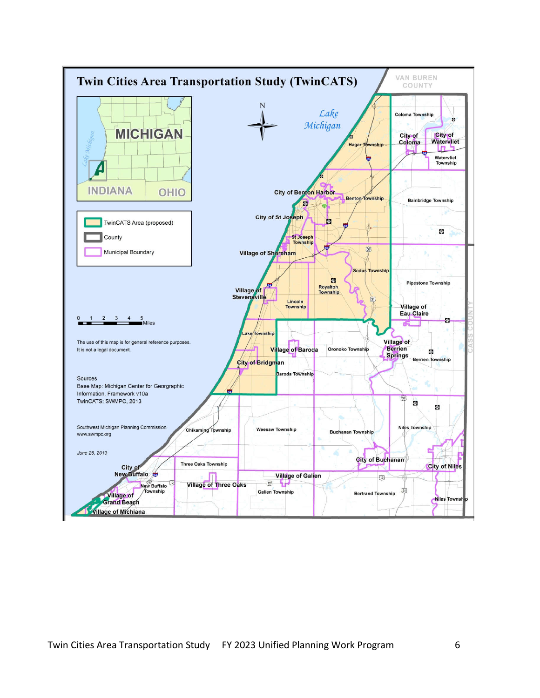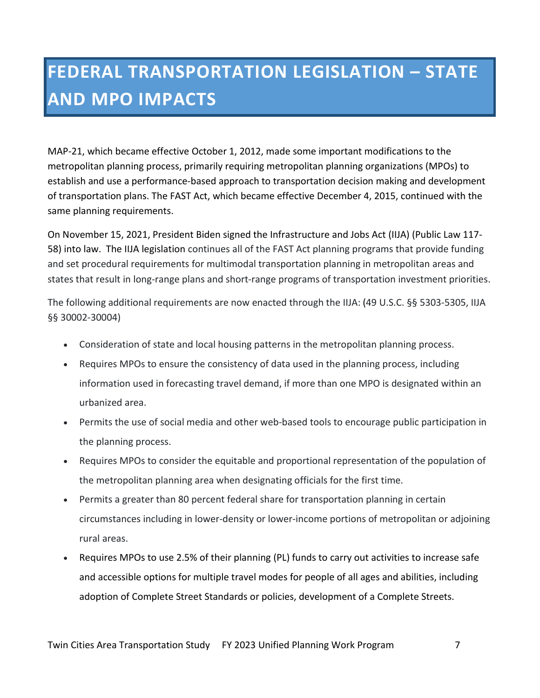# **FEDERAL TRANSPORTATION LEGISLATION – STATE AND MPO IMPACTS**

MAP-21, which became effective October 1, 2012, made some important modifications to the metropolitan planning process, primarily requiring metropolitan planning organizations (MPOs) to establish and use a performance-based approach to transportation decision making and development of transportation plans. The FAST Act, which became effective December 4, 2015, continued with the same planning requirements.

On November 15, 2021, President Biden signed the Infrastructure and Jobs Act (IIJA) (Public Law 117- 58) into law. The IIJA legislation continues all of the FAST Act planning programs that provide funding and set procedural requirements for multimodal transportation planning in metropolitan areas and states that result in long-range plans and short-range programs of transportation investment priorities.

The following additional requirements are now enacted through the IIJA: (49 U.S.C. §§ 5303-5305, IIJA §§ 30002-30004)

- Consideration of state and local housing patterns in the metropolitan planning process.
- Requires MPOs to ensure the consistency of data used in the planning process, including information used in forecasting travel demand, if more than one MPO is designated within an urbanized area.
- Permits the use of social media and other web-based tools to encourage public participation in the planning process.
- Requires MPOs to consider the equitable and proportional representation of the population of the metropolitan planning area when designating officials for the first time.
- Permits a greater than 80 percent federal share for transportation planning in certain circumstances including in lower-density or lower-income portions of metropolitan or adjoining rural areas.
- Requires MPOs to use 2.5% of their planning (PL) funds to carry out activities to increase safe and accessible options for multiple travel modes for people of all ages and abilities, including adoption of Complete Street Standards or policies, development of a Complete Streets.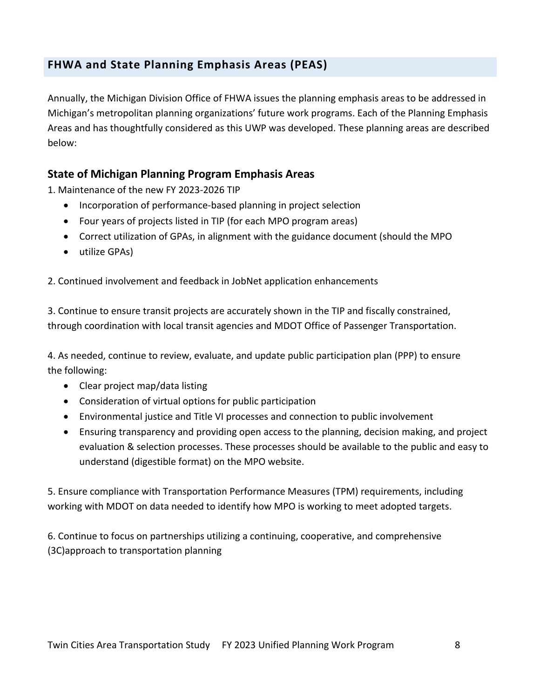# **FHWA and State Planning Emphasis Areas (PEAS)**

Annually, the Michigan Division Office of FHWA issues the planning emphasis areas to be addressed in Michigan's metropolitan planning organizations' future work programs. Each of the Planning Emphasis Areas and has thoughtfully considered as this UWP was developed. These planning areas are described below:

### **State of Michigan Planning Program Emphasis Areas**

1. Maintenance of the new FY 2023-2026 TIP

- Incorporation of performance-based planning in project selection
- Four years of projects listed in TIP (for each MPO program areas)
- Correct utilization of GPAs, in alignment with the guidance document (should the MPO
- utilize GPAs)

2. Continued involvement and feedback in JobNet application enhancements

3. Continue to ensure transit projects are accurately shown in the TIP and fiscally constrained, through coordination with local transit agencies and MDOT Office of Passenger Transportation.

4. As needed, continue to review, evaluate, and update public participation plan (PPP) to ensure the following:

- Clear project map/data listing
- Consideration of virtual options for public participation
- Environmental justice and Title VI processes and connection to public involvement
- Ensuring transparency and providing open access to the planning, decision making, and project evaluation & selection processes. These processes should be available to the public and easy to understand (digestible format) on the MPO website.

5. Ensure compliance with Transportation Performance Measures (TPM) requirements, including working with MDOT on data needed to identify how MPO is working to meet adopted targets.

6. Continue to focus on partnerships utilizing a continuing, cooperative, and comprehensive (3C)approach to transportation planning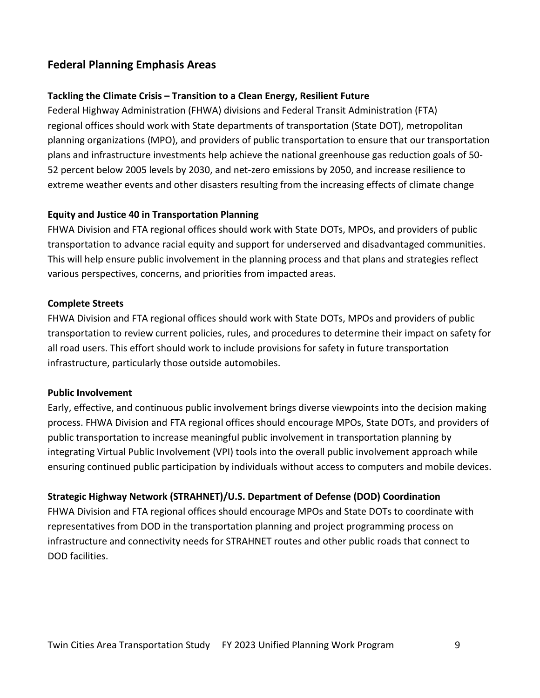# **Federal Planning Emphasis Areas**

#### **Tackling the Climate Crisis – Transition to a Clean Energy, Resilient Future**

Federal Highway Administration (FHWA) divisions and Federal Transit Administration (FTA) regional offices should work with State departments of transportation (State DOT), metropolitan planning organizations (MPO), and providers of public transportation to ensure that our transportation plans and infrastructure investments help achieve the national greenhouse gas reduction goals of 50- 52 percent below 2005 levels by 2030, and net-zero emissions by 2050, and increase resilience to extreme weather events and other disasters resulting from the increasing effects of climate change

#### **Equity and Justice 40 in Transportation Planning**

FHWA Division and FTA regional offices should work with State DOTs, MPOs, and providers of public transportation to advance racial equity and support for underserved and disadvantaged communities. This will help ensure public involvement in the planning process and that plans and strategies reflect various perspectives, concerns, and priorities from impacted areas.

#### **Complete Streets**

FHWA Division and FTA regional offices should work with State DOTs, MPOs and providers of public transportation to review current policies, rules, and procedures to determine their impact on safety for all road users. This effort should work to include provisions for safety in future transportation infrastructure, particularly those outside automobiles.

#### **Public Involvement**

Early, effective, and continuous public involvement brings diverse viewpoints into the decision making process. FHWA Division and FTA regional offices should encourage MPOs, State DOTs, and providers of public transportation to increase meaningful public involvement in transportation planning by integrating Virtual Public Involvement (VPI) tools into the overall public involvement approach while ensuring continued public participation by individuals without access to computers and mobile devices.

#### **Strategic Highway Network (STRAHNET)/U.S. Department of Defense (DOD) Coordination**

FHWA Division and FTA regional offices should encourage MPOs and State DOTs to coordinate with representatives from DOD in the transportation planning and project programming process on infrastructure and connectivity needs for STRAHNET routes and other public roads that connect to DOD facilities.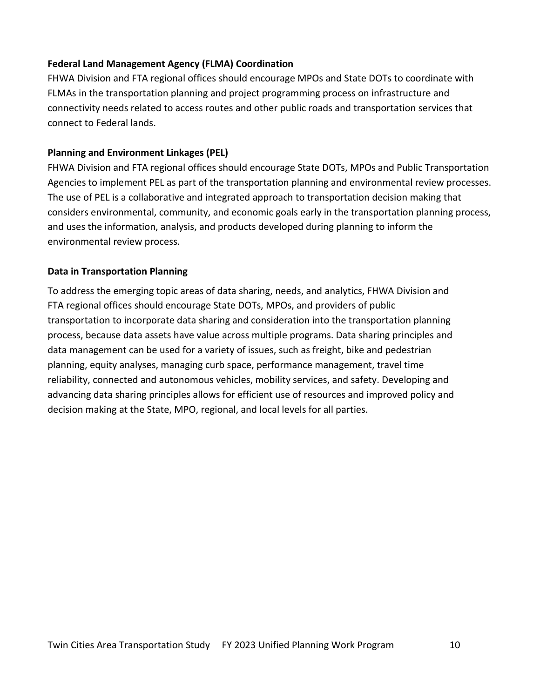#### **Federal Land Management Agency (FLMA) Coordination**

FHWA Division and FTA regional offices should encourage MPOs and State DOTs to coordinate with FLMAs in the transportation planning and project programming process on infrastructure and connectivity needs related to access routes and other public roads and transportation services that connect to Federal lands.

#### **Planning and Environment Linkages (PEL)**

FHWA Division and FTA regional offices should encourage State DOTs, MPOs and Public Transportation Agencies to implement PEL as part of the transportation planning and environmental review processes. The use of PEL is a collaborative and integrated approach to transportation decision making that considers environmental, community, and economic goals early in the transportation planning process, and uses the information, analysis, and products developed during planning to inform the environmental review process.

#### **Data in Transportation Planning**

To address the emerging topic areas of data sharing, needs, and analytics, FHWA Division and FTA regional offices should encourage State DOTs, MPOs, and providers of public transportation to incorporate data sharing and consideration into the transportation planning process, because data assets have value across multiple programs. Data sharing principles and data management can be used for a variety of issues, such as freight, bike and pedestrian planning, equity analyses, managing curb space, performance management, travel time reliability, connected and autonomous vehicles, mobility services, and safety. Developing and advancing data sharing principles allows for efficient use of resources and improved policy and decision making at the State, MPO, regional, and local levels for all parties.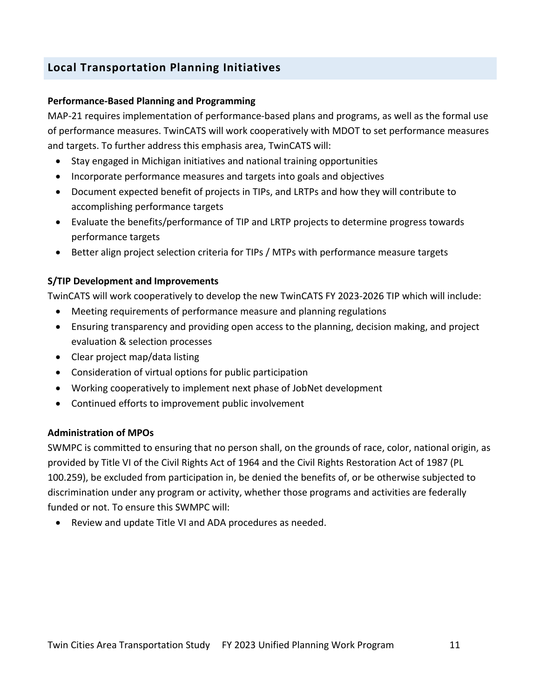# **Local Transportation Planning Initiatives**

#### **Performance-Based Planning and Programming**

MAP-21 requires implementation of performance-based plans and programs, as well as the formal use of performance measures. TwinCATS will work cooperatively with MDOT to set performance measures and targets. To further address this emphasis area, TwinCATS will:

- Stay engaged in Michigan initiatives and national training opportunities
- Incorporate performance measures and targets into goals and objectives
- Document expected benefit of projects in TIPs, and LRTPs and how they will contribute to accomplishing performance targets
- Evaluate the benefits/performance of TIP and LRTP projects to determine progress towards performance targets
- Better align project selection criteria for TIPs / MTPs with performance measure targets

#### **S/TIP Development and Improvements**

TwinCATS will work cooperatively to develop the new TwinCATS FY 2023-2026 TIP which will include:

- Meeting requirements of performance measure and planning regulations
- Ensuring transparency and providing open access to the planning, decision making, and project evaluation & selection processes
- Clear project map/data listing
- Consideration of virtual options for public participation
- Working cooperatively to implement next phase of JobNet development
- Continued efforts to improvement public involvement

#### **Administration of MPOs**

SWMPC is committed to ensuring that no person shall, on the grounds of race, color, national origin, as provided by Title VI of the Civil Rights Act of 1964 and the Civil Rights Restoration Act of 1987 (PL 100.259), be excluded from participation in, be denied the benefits of, or be otherwise subjected to discrimination under any program or activity, whether those programs and activities are federally funded or not. To ensure this SWMPC will:

Review and update Title VI and ADA procedures as needed.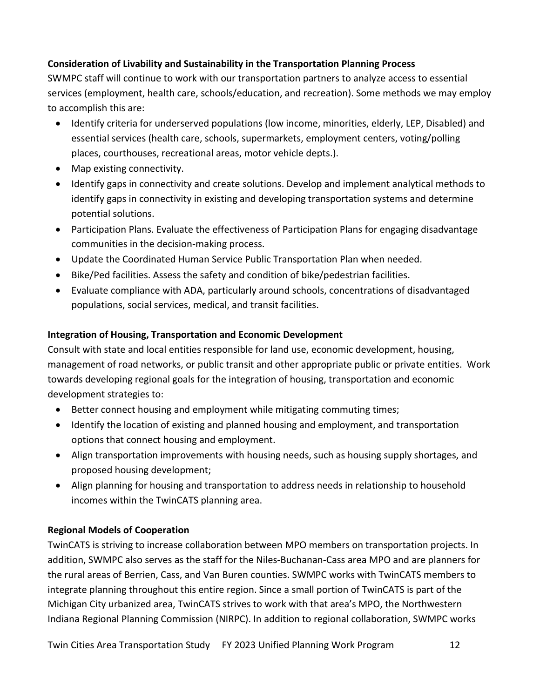#### **Consideration of Livability and Sustainability in the Transportation Planning Process**

SWMPC staff will continue to work with our transportation partners to analyze access to essential services (employment, health care, schools/education, and recreation). Some methods we may employ to accomplish this are:

- Identify criteria for underserved populations (low income, minorities, elderly, LEP, Disabled) and essential services (health care, schools, supermarkets, employment centers, voting/polling places, courthouses, recreational areas, motor vehicle depts.).
- Map existing connectivity.
- Identify gaps in connectivity and create solutions. Develop and implement analytical methods to identify gaps in connectivity in existing and developing transportation systems and determine potential solutions.
- Participation Plans. Evaluate the effectiveness of Participation Plans for engaging disadvantage communities in the decision-making process.
- Update the Coordinated Human Service Public Transportation Plan when needed.
- Bike/Ped facilities. Assess the safety and condition of bike/pedestrian facilities.
- Evaluate compliance with ADA, particularly around schools, concentrations of disadvantaged populations, social services, medical, and transit facilities.

#### **Integration of Housing, Transportation and Economic Development**

Consult with state and local entities responsible for land use, economic development, housing, management of road networks, or public transit and other appropriate public or private entities. Work towards developing regional goals for the integration of housing, transportation and economic development strategies to:

- Better connect housing and employment while mitigating commuting times;
- Identify the location of existing and planned housing and employment, and transportation options that connect housing and employment.
- Align transportation improvements with housing needs, such as housing supply shortages, and proposed housing development;
- Align planning for housing and transportation to address needs in relationship to household incomes within the TwinCATS planning area.

#### **Regional Models of Cooperation**

TwinCATS is striving to increase collaboration between MPO members on transportation projects. In addition, SWMPC also serves as the staff for the Niles-Buchanan-Cass area MPO and are planners for the rural areas of Berrien, Cass, and Van Buren counties. SWMPC works with TwinCATS members to integrate planning throughout this entire region. Since a small portion of TwinCATS is part of the Michigan City urbanized area, TwinCATS strives to work with that area's MPO, the Northwestern Indiana Regional Planning Commission (NIRPC). In addition to regional collaboration, SWMPC works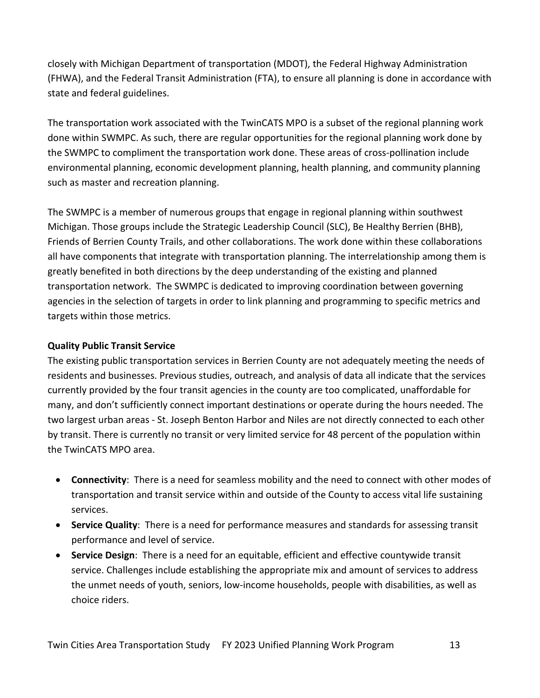closely with Michigan Department of transportation (MDOT), the Federal Highway Administration (FHWA), and the Federal Transit Administration (FTA), to ensure all planning is done in accordance with state and federal guidelines.

The transportation work associated with the TwinCATS MPO is a subset of the regional planning work done within SWMPC. As such, there are regular opportunities for the regional planning work done by the SWMPC to compliment the transportation work done. These areas of cross-pollination include environmental planning, economic development planning, health planning, and community planning such as master and recreation planning.

The SWMPC is a member of numerous groups that engage in regional planning within southwest Michigan. Those groups include the Strategic Leadership Council (SLC), Be Healthy Berrien (BHB), Friends of Berrien County Trails, and other collaborations. The work done within these collaborations all have components that integrate with transportation planning. The interrelationship among them is greatly benefited in both directions by the deep understanding of the existing and planned transportation network. The SWMPC is dedicated to improving coordination between governing agencies in the selection of targets in order to link planning and programming to specific metrics and targets within those metrics.

#### **Quality Public Transit Service**

The existing public transportation services in Berrien County are not adequately meeting the needs of residents and businesses. Previous studies, outreach, and analysis of data all indicate that the services currently provided by the four transit agencies in the county are too complicated, unaffordable for many, and don't sufficiently connect important destinations or operate during the hours needed. The two largest urban areas - St. Joseph Benton Harbor and Niles are not directly connected to each other by transit. There is currently no transit or very limited service for 48 percent of the population within the TwinCATS MPO area.

- **Connectivity**: There is a need for seamless mobility and the need to connect with other modes of transportation and transit service within and outside of the County to access vital life sustaining services.
- **Service Quality**: There is a need for performance measures and standards for assessing transit performance and level of service.
- **Service Design**: There is a need for an equitable, efficient and effective countywide transit service. Challenges include establishing the appropriate mix and amount of services to address the unmet needs of youth, seniors, low-income households, people with disabilities, as well as choice riders.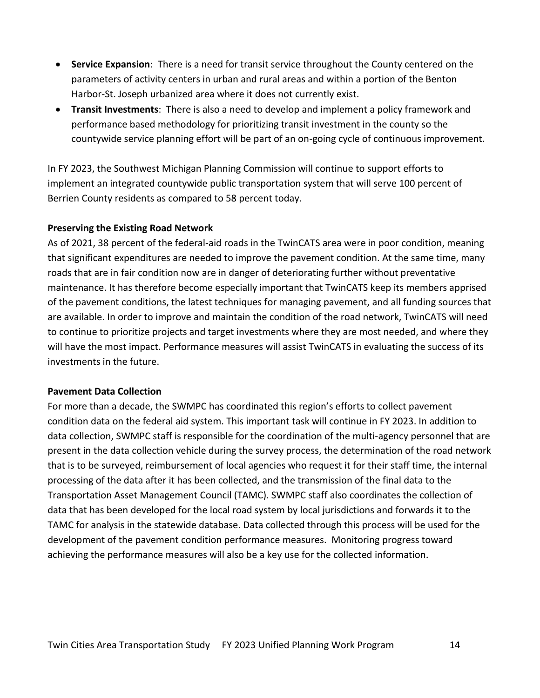- **Service Expansion**: There is a need for transit service throughout the County centered on the parameters of activity centers in urban and rural areas and within a portion of the Benton Harbor-St. Joseph urbanized area where it does not currently exist.
- **Transit Investments**: There is also a need to develop and implement a policy framework and performance based methodology for prioritizing transit investment in the county so the countywide service planning effort will be part of an on-going cycle of continuous improvement.

In FY 2023, the Southwest Michigan Planning Commission will continue to support efforts to implement an integrated countywide public transportation system that will serve 100 percent of Berrien County residents as compared to 58 percent today.

#### **Preserving the Existing Road Network**

As of 2021, 38 percent of the federal-aid roads in the TwinCATS area were in poor condition, meaning that significant expenditures are needed to improve the pavement condition. At the same time, many roads that are in fair condition now are in danger of deteriorating further without preventative maintenance. It has therefore become especially important that TwinCATS keep its members apprised of the pavement conditions, the latest techniques for managing pavement, and all funding sources that are available. In order to improve and maintain the condition of the road network, TwinCATS will need to continue to prioritize projects and target investments where they are most needed, and where they will have the most impact. Performance measures will assist TwinCATS in evaluating the success of its investments in the future.

#### **Pavement Data Collection**

For more than a decade, the SWMPC has coordinated this region's efforts to collect pavement condition data on the federal aid system. This important task will continue in FY 2023. In addition to data collection, SWMPC staff is responsible for the coordination of the multi-agency personnel that are present in the data collection vehicle during the survey process, the determination of the road network that is to be surveyed, reimbursement of local agencies who request it for their staff time, the internal processing of the data after it has been collected, and the transmission of the final data to the Transportation Asset Management Council (TAMC). SWMPC staff also coordinates the collection of data that has been developed for the local road system by local jurisdictions and forwards it to the TAMC for analysis in the statewide database. Data collected through this process will be used for the development of the pavement condition performance measures. Monitoring progress toward achieving the performance measures will also be a key use for the collected information.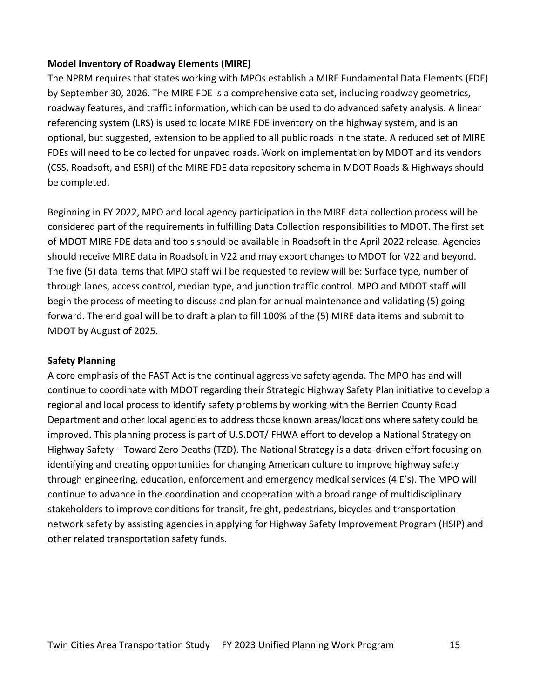#### **Model Inventory of Roadway Elements (MIRE)**

The NPRM requires that states working with MPOs establish a MIRE Fundamental Data Elements (FDE) by September 30, 2026. The MIRE FDE is a comprehensive data set, including roadway geometrics, roadway features, and traffic information, which can be used to do advanced safety analysis. A linear referencing system (LRS) is used to locate MIRE FDE inventory on the highway system, and is an optional, but suggested, extension to be applied to all public roads in the state. A reduced set of MIRE FDEs will need to be collected for unpaved roads. Work on implementation by MDOT and its vendors (CSS, Roadsoft, and ESRI) of the MIRE FDE data repository schema in MDOT Roads & Highways should be completed.

Beginning in FY 2022, MPO and local agency participation in the MIRE data collection process will be considered part of the requirements in fulfilling Data Collection responsibilities to MDOT. The first set of MDOT MIRE FDE data and tools should be available in Roadsoft in the April 2022 release. Agencies should receive MIRE data in Roadsoft in V22 and may export changes to MDOT for V22 and beyond. The five (5) data items that MPO staff will be requested to review will be: Surface type, number of through lanes, access control, median type, and junction traffic control. MPO and MDOT staff will begin the process of meeting to discuss and plan for annual maintenance and validating (5) going forward. The end goal will be to draft a plan to fill 100% of the (5) MIRE data items and submit to MDOT by August of 2025.

#### **Safety Planning**

A core emphasis of the FAST Act is the continual aggressive safety agenda. The MPO has and will continue to coordinate with MDOT regarding their Strategic Highway Safety Plan initiative to develop a regional and local process to identify safety problems by working with the Berrien County Road Department and other local agencies to address those known areas/locations where safety could be improved. This planning process is part of U.S.DOT/ FHWA effort to develop a National Strategy on Highway Safety – Toward Zero Deaths (TZD). The National Strategy is a data-driven effort focusing on identifying and creating opportunities for changing American culture to improve highway safety through engineering, education, enforcement and emergency medical services (4 E's). The MPO will continue to advance in the coordination and cooperation with a broad range of multidisciplinary stakeholders to improve conditions for transit, freight, pedestrians, bicycles and transportation network safety by assisting agencies in applying for Highway Safety Improvement Program (HSIP) and other related transportation safety funds.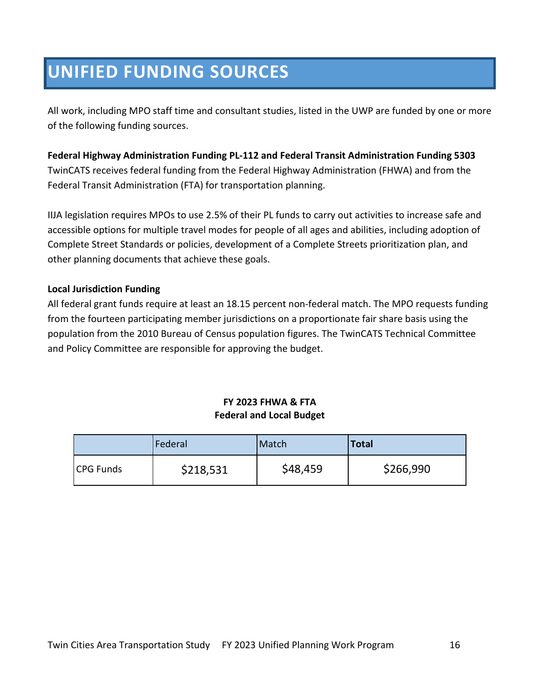# **UNIFIED FUNDING SOURCES**

All work, including MPO staff time and consultant studies, listed in the UWP are funded by one or more of the following funding sources.

**Federal Highway Administration Funding PL-112 and Federal Transit Administration Funding 5303** TwinCATS receives federal funding from the Federal Highway Administration (FHWA) and from the Federal Transit Administration (FTA) for transportation planning.

IIJA legislation requires MPOs to use 2.5% of their PL funds to carry out activities to increase safe and accessible options for multiple travel modes for people of all ages and abilities, including adoption of Complete Street Standards or policies, development of a Complete Streets prioritization plan, and other planning documents that achieve these goals.

#### **Local Jurisdiction Funding**

All federal grant funds require at least an 18.15 percent non-federal match. The MPO requests funding from the fourteen participating member jurisdictions on a proportionate fair share basis using the population from the 2010 Bureau of Census population figures. The TwinCATS Technical Committee and Policy Committee are responsible for approving the budget.

#### **FY 2023 FHWA & FTA Federal and Local Budget**

|                  | Federal   | Match    | <b>Total</b> |
|------------------|-----------|----------|--------------|
| <b>CPG Funds</b> | \$218,531 | \$48,459 | \$266,990    |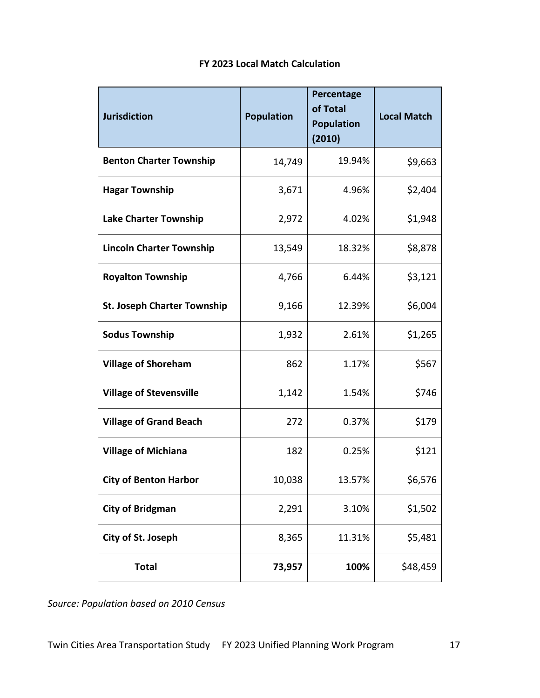| <b>Jurisdiction</b>                | <b>Population</b> | Percentage<br>of Total<br><b>Population</b><br>(2010) | <b>Local Match</b> |
|------------------------------------|-------------------|-------------------------------------------------------|--------------------|
| <b>Benton Charter Township</b>     | 14,749            | 19.94%                                                | \$9,663            |
| <b>Hagar Township</b>              | 3,671             | 4.96%                                                 | \$2,404            |
| Lake Charter Township              | 2,972             | 4.02%                                                 | \$1,948            |
| <b>Lincoln Charter Township</b>    | 13,549            | 18.32%                                                | \$8,878            |
| <b>Royalton Township</b>           | 4,766             | 6.44%                                                 | \$3,121            |
| <b>St. Joseph Charter Township</b> | 9,166             | 12.39%                                                | \$6,004            |
| <b>Sodus Township</b>              | 1,932             | 2.61%                                                 | \$1,265            |
| <b>Village of Shoreham</b>         | 862               | 1.17%                                                 | \$567              |
| <b>Village of Stevensville</b>     | 1,142             | 1.54%                                                 | \$746              |
| <b>Village of Grand Beach</b>      | 272               | 0.37%                                                 | \$179              |
| <b>Village of Michiana</b>         | 182               | 0.25%                                                 | \$121              |
| <b>City of Benton Harbor</b>       | 10,038            | 13.57%                                                | \$6,576            |
| <b>City of Bridgman</b>            | 2,291             | 3.10%                                                 | \$1,502            |
| City of St. Joseph                 | 8,365             | 11.31%                                                | \$5,481            |
| <b>Total</b>                       | 73,957            | 100%                                                  | \$48,459           |

### **FY 2023 Local Match Calculation**

*Source: Population based on 2010 Census*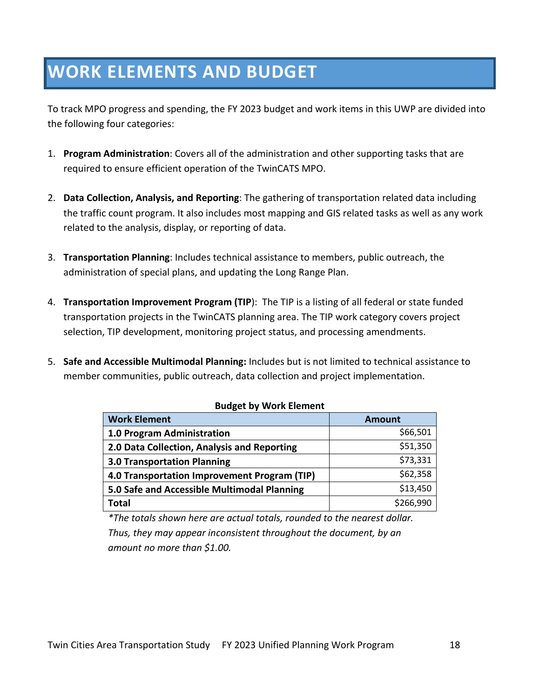# **WORK ELEMENTS AND BUDGET**

To track MPO progress and spending, the FY 2023 budget and work items in this UWP are divided into the following four categories:

- 1. **Program Administration**: Covers all of the administration and other supporting tasks that are required to ensure efficient operation of the TwinCATS MPO.
- 2. **Data Collection, Analysis, and Reporting**: The gathering of transportation related data including the traffic count program. It also includes most mapping and GIS related tasks as well as any work related to the analysis, display, or reporting of data.
- 3. **Transportation Planning**: Includes technical assistance to members, public outreach, the administration of special plans, and updating the Long Range Plan.
- 4. **Transportation Improvement Program (TIP**): The TIP is a listing of all federal or state funded transportation projects in the TwinCATS planning area. The TIP work category covers project selection, TIP development, monitoring project status, and processing amendments.
- 5. **Safe and Accessible Multimodal Planning:** Includes but is not limited to technical assistance to member communities, public outreach, data collection and project implementation.

| <b>PUBLE BY WOIK EIGHIGHT</b>                |               |  |  |
|----------------------------------------------|---------------|--|--|
| <b>Work Element</b>                          | <b>Amount</b> |  |  |
| 1.0 Program Administration                   | \$66,501      |  |  |
| 2.0 Data Collection, Analysis and Reporting  | \$51,350      |  |  |
| <b>3.0 Transportation Planning</b>           | \$73,331      |  |  |
| 4.0 Transportation Improvement Program (TIP) | \$62,358      |  |  |
| 5.0 Safe and Accessible Multimodal Planning  | \$13,450      |  |  |
| <b>Total</b>                                 | \$266,990     |  |  |

#### **Budget by Work Element**

*\*The totals shown here are actual totals, rounded to the nearest dollar. Thus, they may appear inconsistent throughout the document, by an amount no more than \$1.00.*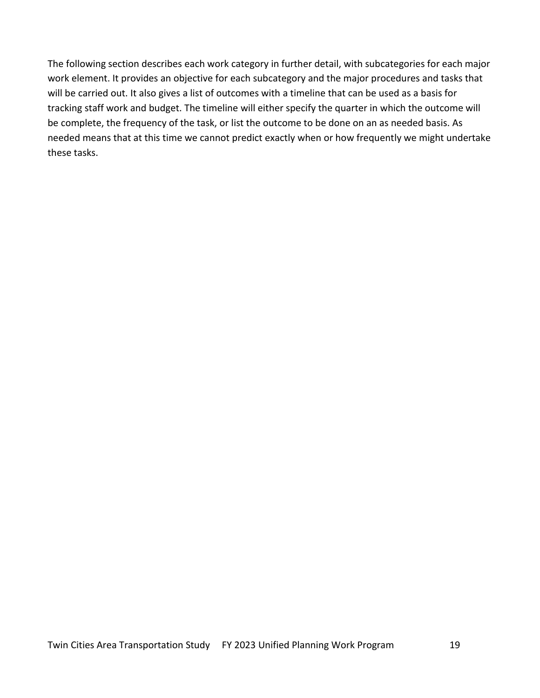The following section describes each work category in further detail, with subcategories for each major work element. It provides an objective for each subcategory and the major procedures and tasks that will be carried out. It also gives a list of outcomes with a timeline that can be used as a basis for tracking staff work and budget. The timeline will either specify the quarter in which the outcome will be complete, the frequency of the task, or list the outcome to be done on an as needed basis. As needed means that at this time we cannot predict exactly when or how frequently we might undertake these tasks.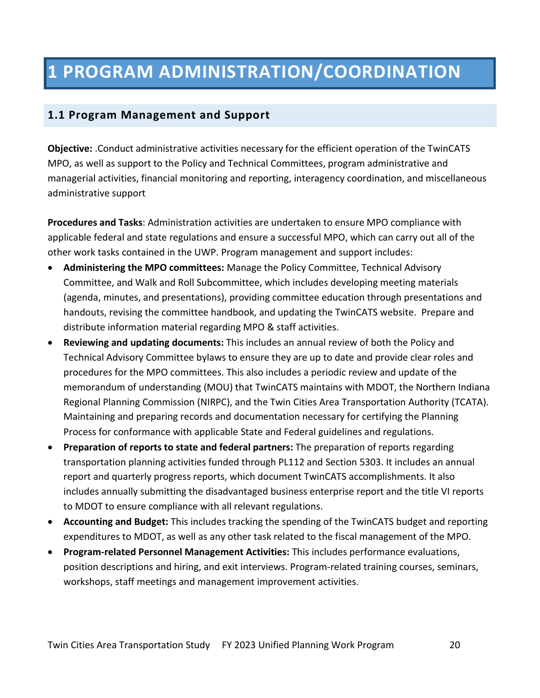### **1.1 Program Management and Support**

**Objective:** .Conduct administrative activities necessary for the efficient operation of the TwinCATS MPO, as well as support to the Policy and Technical Committees, program administrative and managerial activities, financial monitoring and reporting, interagency coordination, and miscellaneous administrative support

**Procedures and Tasks**: Administration activities are undertaken to ensure MPO compliance with applicable federal and state regulations and ensure a successful MPO, which can carry out all of the other work tasks contained in the UWP. Program management and support includes:

- **Administering the MPO committees:** Manage the Policy Committee, Technical Advisory Committee, and Walk and Roll Subcommittee, which includes developing meeting materials (agenda, minutes, and presentations), providing committee education through presentations and handouts, revising the committee handbook, and updating the TwinCATS website. Prepare and distribute information material regarding MPO & staff activities.
- **Reviewing and updating documents:** This includes an annual review of both the Policy and Technical Advisory Committee bylaws to ensure they are up to date and provide clear roles and procedures for the MPO committees. This also includes a periodic review and update of the memorandum of understanding (MOU) that TwinCATS maintains with MDOT, the Northern Indiana Regional Planning Commission (NIRPC), and the Twin Cities Area Transportation Authority (TCATA). Maintaining and preparing records and documentation necessary for certifying the Planning Process for conformance with applicable State and Federal guidelines and regulations.
- **Preparation of reports to state and federal partners:** The preparation of reports regarding transportation planning activities funded through PL112 and Section 5303. It includes an annual report and quarterly progress reports, which document TwinCATS accomplishments. It also includes annually submitting the disadvantaged business enterprise report and the title VI reports to MDOT to ensure compliance with all relevant regulations.
- **Accounting and Budget:** This includes tracking the spending of the TwinCATS budget and reporting expenditures to MDOT, as well as any other task related to the fiscal management of the MPO.
- **Program-related Personnel Management Activities:** This includes performance evaluations, position descriptions and hiring, and exit interviews. Program-related training courses, seminars, workshops, staff meetings and management improvement activities.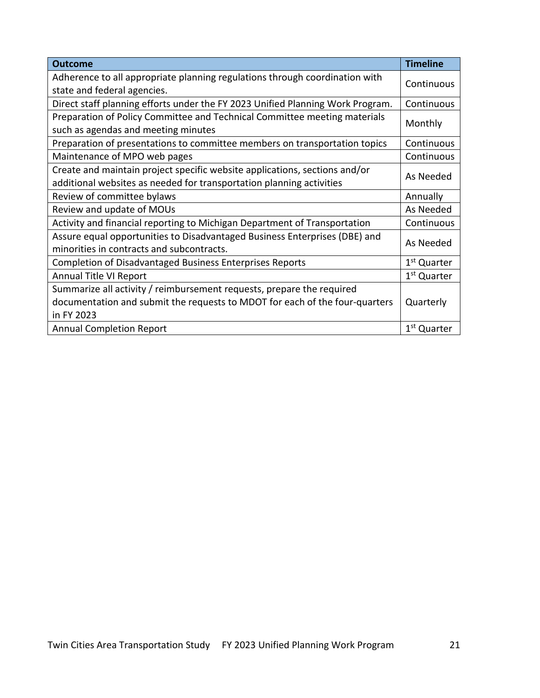| <b>Outcome</b>                                                                 | <b>Timeline</b>         |
|--------------------------------------------------------------------------------|-------------------------|
| Adherence to all appropriate planning regulations through coordination with    |                         |
| state and federal agencies.                                                    | Continuous              |
| Direct staff planning efforts under the FY 2023 Unified Planning Work Program. | Continuous              |
| Preparation of Policy Committee and Technical Committee meeting materials      |                         |
| such as agendas and meeting minutes                                            | Monthly                 |
| Preparation of presentations to committee members on transportation topics     | Continuous              |
| Maintenance of MPO web pages                                                   | Continuous              |
| Create and maintain project specific website applications, sections and/or     |                         |
| additional websites as needed for transportation planning activities           | As Needed               |
| Review of committee bylaws                                                     | Annually                |
| Review and update of MOUs                                                      | As Needed               |
| Activity and financial reporting to Michigan Department of Transportation      | Continuous              |
| Assure equal opportunities to Disadvantaged Business Enterprises (DBE) and     |                         |
| minorities in contracts and subcontracts.                                      | As Needed               |
| <b>Completion of Disadvantaged Business Enterprises Reports</b>                | 1 <sup>st</sup> Quarter |
| Annual Title VI Report                                                         | 1 <sup>st</sup> Quarter |
| Summarize all activity / reimbursement requests, prepare the required          |                         |
| documentation and submit the requests to MDOT for each of the four-quarters    | Quarterly               |
| in FY 2023                                                                     |                         |
| <b>Annual Completion Report</b>                                                | 1 <sup>st</sup> Quarter |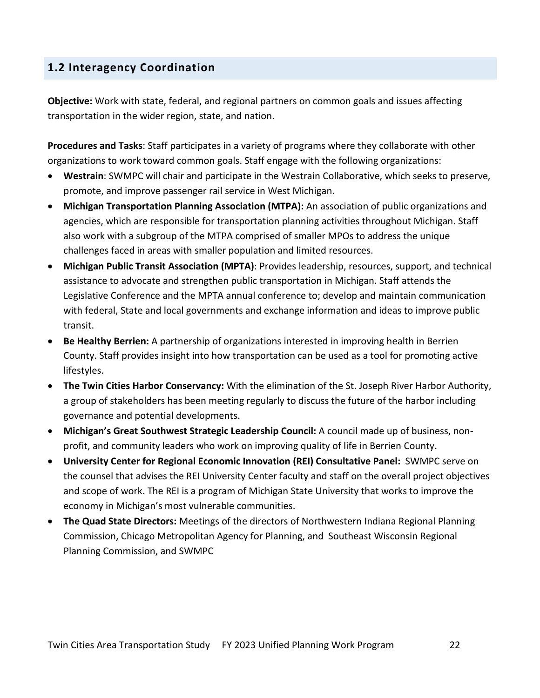# **1.2 Interagency Coordination**

**Objective:** Work with state, federal, and regional partners on common goals and issues affecting transportation in the wider region, state, and nation.

**Procedures and Tasks**: Staff participates in a variety of programs where they collaborate with other organizations to work toward common goals. Staff engage with the following organizations:

- **Westrain**: SWMPC will chair and participate in the Westrain Collaborative, which seeks to preserve, promote, and improve passenger rail service in West Michigan.
- **Michigan Transportation Planning Association (MTPA):** An association of public organizations and agencies, which are responsible for transportation planning activities throughout Michigan. Staff also work with a subgroup of the MTPA comprised of smaller MPOs to address the unique challenges faced in areas with smaller population and limited resources.
- **Michigan Public Transit Association (MPTA)**: Provides leadership, resources, support, and technical assistance to advocate and strengthen public transportation in Michigan. Staff attends the Legislative Conference and the MPTA annual conference to; develop and maintain communication with federal, State and local governments and exchange information and ideas to improve public transit.
- **Be Healthy Berrien:** A partnership of organizations interested in improving health in Berrien County. Staff provides insight into how transportation can be used as a tool for promoting active lifestyles.
- **The Twin Cities Harbor Conservancy:** With the elimination of the St. Joseph River Harbor Authority, a group of stakeholders has been meeting regularly to discuss the future of the harbor including governance and potential developments.
- **Michigan's Great Southwest Strategic Leadership Council:** A council made up of business, nonprofit, and community leaders who work on improving quality of life in Berrien County.
- **University Center for Regional Economic Innovation (REI) Consultative Panel:** SWMPC serve on the counsel that advises the REI University Center faculty and staff on the overall project objectives and scope of work. The REI is a program of Michigan State University that works to improve the economy in Michigan's most vulnerable communities.
- **The Quad State Directors:** Meetings of the directors of Northwestern Indiana Regional Planning Commission, Chicago Metropolitan Agency for Planning, and Southeast Wisconsin Regional Planning Commission, and SWMPC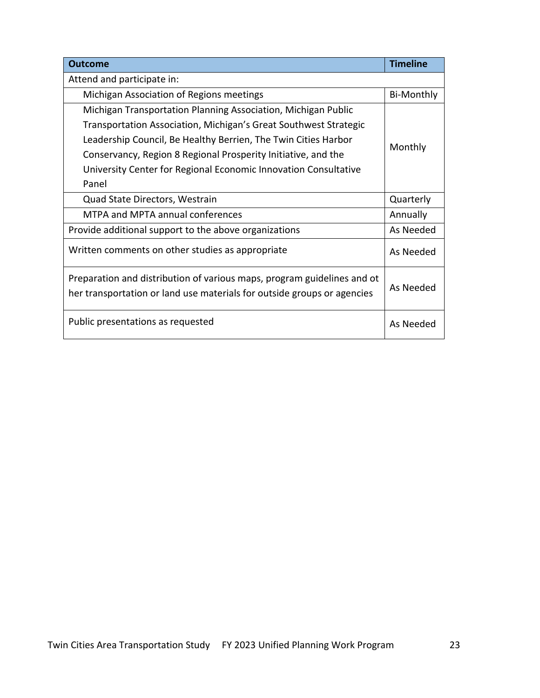| <b>Outcome</b>                                                                                                                                     | <b>Timeline</b>   |
|----------------------------------------------------------------------------------------------------------------------------------------------------|-------------------|
| Attend and participate in:                                                                                                                         |                   |
| Michigan Association of Regions meetings                                                                                                           | <b>Bi-Monthly</b> |
| Michigan Transportation Planning Association, Michigan Public                                                                                      |                   |
| Transportation Association, Michigan's Great Southwest Strategic                                                                                   |                   |
| Leadership Council, Be Healthy Berrien, The Twin Cities Harbor                                                                                     | Monthly           |
| Conservancy, Region 8 Regional Prosperity Initiative, and the                                                                                      |                   |
| University Center for Regional Economic Innovation Consultative                                                                                    |                   |
| Panel                                                                                                                                              |                   |
| Quad State Directors, Westrain                                                                                                                     | Quarterly         |
| MTPA and MPTA annual conferences                                                                                                                   | Annually          |
| Provide additional support to the above organizations                                                                                              | As Needed         |
| Written comments on other studies as appropriate                                                                                                   | As Needed         |
| Preparation and distribution of various maps, program guidelines and ot<br>her transportation or land use materials for outside groups or agencies | As Needed         |
| Public presentations as requested                                                                                                                  | As Needed         |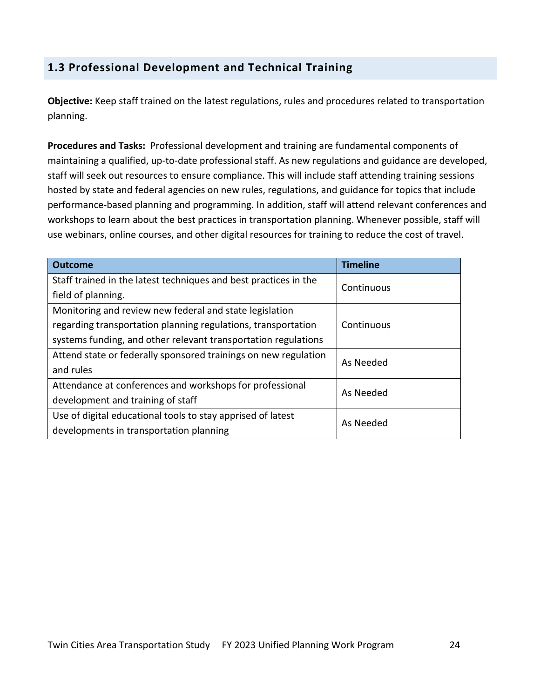# **1.3 Professional Development and Technical Training**

**Objective:** Keep staff trained on the latest regulations, rules and procedures related to transportation planning.

**Procedures and Tasks:** Professional development and training are fundamental components of maintaining a qualified, up-to-date professional staff. As new regulations and guidance are developed, staff will seek out resources to ensure compliance. This will include staff attending training sessions hosted by state and federal agencies on new rules, regulations, and guidance for topics that include performance-based planning and programming. In addition, staff will attend relevant conferences and workshops to learn about the best practices in transportation planning. Whenever possible, staff will use webinars, online courses, and other digital resources for training to reduce the cost of travel.

| <b>Outcome</b>                                                   | <b>Timeline</b> |  |
|------------------------------------------------------------------|-----------------|--|
| Staff trained in the latest techniques and best practices in the | Continuous      |  |
| field of planning.                                               |                 |  |
| Monitoring and review new federal and state legislation          |                 |  |
| regarding transportation planning regulations, transportation    | Continuous      |  |
| systems funding, and other relevant transportation regulations   |                 |  |
| Attend state or federally sponsored trainings on new regulation  | As Needed       |  |
| and rules                                                        |                 |  |
| Attendance at conferences and workshops for professional         | As Needed       |  |
| development and training of staff                                |                 |  |
| Use of digital educational tools to stay apprised of latest      | As Needed       |  |
| developments in transportation planning                          |                 |  |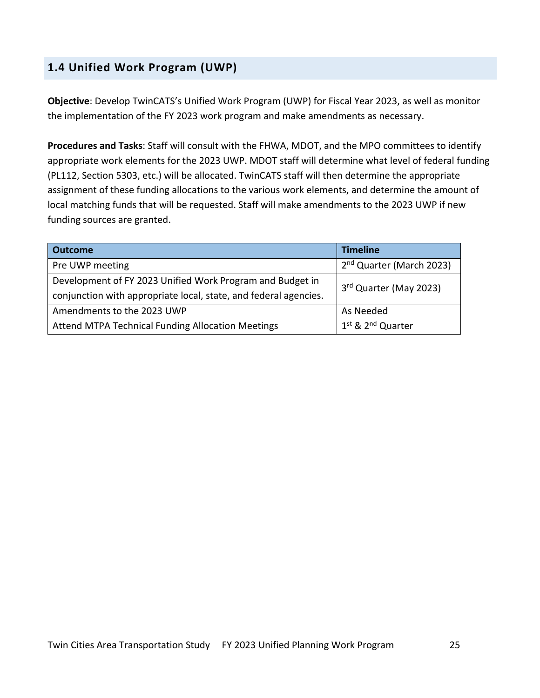# **1.4 Unified Work Program (UWP)**

**Objective**: Develop TwinCATS's Unified Work Program (UWP) for Fiscal Year 2023, as well as monitor the implementation of the FY 2023 work program and make amendments as necessary.

**Procedures and Tasks**: Staff will consult with the FHWA, MDOT, and the MPO committees to identify appropriate work elements for the 2023 UWP. MDOT staff will determine what level of federal funding (PL112, Section 5303, etc.) will be allocated. TwinCATS staff will then determine the appropriate assignment of these funding allocations to the various work elements, and determine the amount of local matching funds that will be requested. Staff will make amendments to the 2023 UWP if new funding sources are granted.

| <b>Outcome</b>                                                   | <b>Timeline</b>                      |  |
|------------------------------------------------------------------|--------------------------------------|--|
| Pre UWP meeting                                                  | 2 <sup>nd</sup> Quarter (March 2023) |  |
| Development of FY 2023 Unified Work Program and Budget in        | 3rd Quarter (May 2023)               |  |
| conjunction with appropriate local, state, and federal agencies. |                                      |  |
| Amendments to the 2023 UWP                                       | As Needed                            |  |
| Attend MTPA Technical Funding Allocation Meetings                | 1st & 2 <sup>nd</sup> Quarter        |  |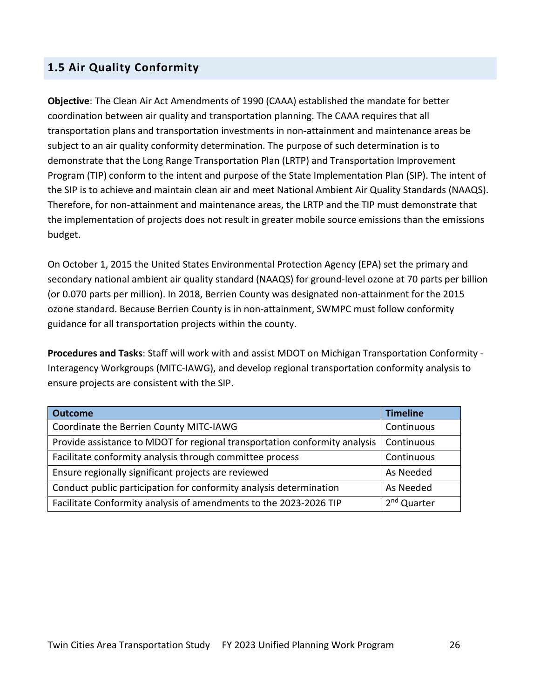# **1.5 Air Quality Conformity**

**Objective**: The Clean Air Act Amendments of 1990 (CAAA) established the mandate for better coordination between air quality and transportation planning. The CAAA requires that all transportation plans and transportation investments in non-attainment and maintenance areas be subject to an air quality conformity determination. The purpose of such determination is to demonstrate that the Long Range Transportation Plan (LRTP) and Transportation Improvement Program (TIP) conform to the intent and purpose of the State Implementation Plan (SIP). The intent of the SIP is to achieve and maintain clean air and meet National Ambient Air Quality Standards (NAAQS). Therefore, for non-attainment and maintenance areas, the LRTP and the TIP must demonstrate that the implementation of projects does not result in greater mobile source emissions than the emissions budget.

On October 1, 2015 the United States Environmental Protection Agency (EPA) set the primary and secondary national ambient air quality standard (NAAQS) for ground-level ozone at 70 parts per billion (or 0.070 parts per million). In 2018, Berrien County was designated non-attainment for the 2015 ozone standard. Because Berrien County is in non-attainment, SWMPC must follow conformity guidance for all transportation projects within the county.

**Procedures and Tasks**: Staff will work with and assist MDOT on Michigan Transportation Conformity - Interagency Workgroups (MITC-IAWG), and develop regional transportation conformity analysis to ensure projects are consistent with the SIP.

| <b>Outcome</b>                                                             | <b>Timeline</b>         |
|----------------------------------------------------------------------------|-------------------------|
| Coordinate the Berrien County MITC-IAWG                                    | Continuous              |
| Provide assistance to MDOT for regional transportation conformity analysis | Continuous              |
| Facilitate conformity analysis through committee process                   | Continuous              |
| Ensure regionally significant projects are reviewed                        | As Needed               |
| Conduct public participation for conformity analysis determination         | As Needed               |
| Facilitate Conformity analysis of amendments to the 2023-2026 TIP          | 2 <sup>nd</sup> Quarter |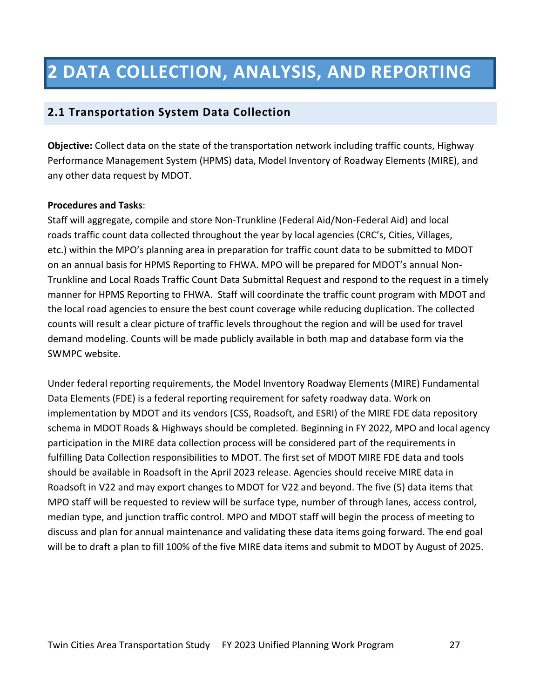# **2 DATA COLLECTION, ANALYSIS, AND REPORTING**

#### **2.1 Transportation System Data Collection**

**Objective:** Collect data on the state of the transportation network including traffic counts, Highway Performance Management System (HPMS) data, Model Inventory of Roadway Elements (MIRE), and any other data request by MDOT.

#### **Procedures and Tasks**:

Staff will aggregate, compile and store Non-Trunkline (Federal Aid/Non-Federal Aid) and local roads traffic count data collected throughout the year by local agencies (CRC's, Cities, Villages, etc.) within the MPO's planning area in preparation for traffic count data to be submitted to MDOT on an annual basis for HPMS Reporting to FHWA. MPO will be prepared for MDOT's annual Non-Trunkline and Local Roads Traffic Count Data Submittal Request and respond to the request in a timely manner for HPMS Reporting to FHWA.  Staff will coordinate the traffic count program with MDOT and the local road agencies to ensure the best count coverage while reducing duplication. The collected counts will result a clear picture of traffic levels throughout the region and will be used for travel demand modeling. Counts will be made publicly available in both map and database form via the SWMPC website.

Under federal reporting requirements, the Model Inventory Roadway Elements (MIRE) Fundamental Data Elements (FDE) is a federal reporting requirement for safety roadway data. Work on implementation by MDOT and its vendors (CSS, Roadsoft, and ESRI) of the MIRE FDE data repository schema in MDOT Roads & Highways should be completed. Beginning in FY 2022, MPO and local agency participation in the MIRE data collection process will be considered part of the requirements in fulfilling Data Collection responsibilities to MDOT. The first set of MDOT MIRE FDE data and tools should be available in Roadsoft in the April 2023 release. Agencies should receive MIRE data in Roadsoft in V22 and may export changes to MDOT for V22 and beyond. The five (5) data items that MPO staff will be requested to review will be surface type, number of through lanes, access control, median type, and junction traffic control. MPO and MDOT staff will begin the process of meeting to discuss and plan for annual maintenance and validating these data items going forward. The end goal will be to draft a plan to fill 100% of the five MIRE data items and submit to MDOT by August of 2025.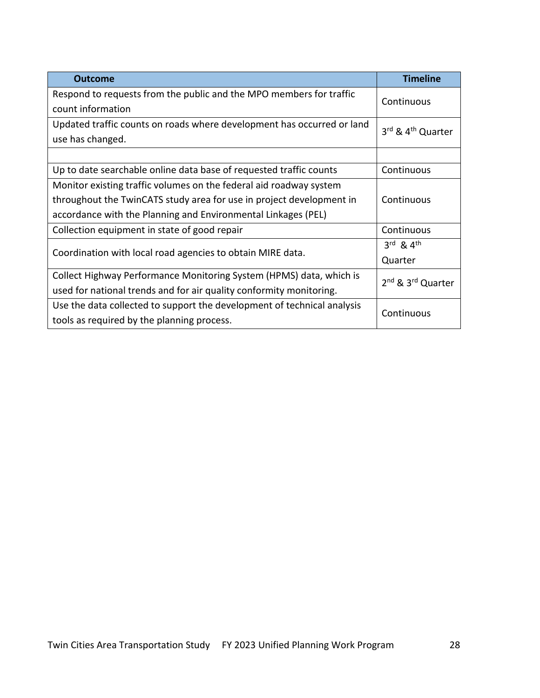| <b>Outcome</b>                                                          | <b>Timeline</b>                           |  |
|-------------------------------------------------------------------------|-------------------------------------------|--|
| Respond to requests from the public and the MPO members for traffic     | Continuous                                |  |
| count information                                                       |                                           |  |
| Updated traffic counts on roads where development has occurred or land  | 3rd & 4 <sup>th</sup> Quarter             |  |
| use has changed.                                                        |                                           |  |
|                                                                         |                                           |  |
| Up to date searchable online data base of requested traffic counts      | Continuous                                |  |
| Monitor existing traffic volumes on the federal aid roadway system      |                                           |  |
| throughout the TwinCATS study area for use in project development in    | Continuous                                |  |
| accordance with the Planning and Environmental Linkages (PEL)           |                                           |  |
| Collection equipment in state of good repair                            | Continuous                                |  |
|                                                                         | 3rd & 4th                                 |  |
| Coordination with local road agencies to obtain MIRE data.              | Quarter                                   |  |
| Collect Highway Performance Monitoring System (HPMS) data, which is     | 2 <sup>nd</sup> & 3 <sup>rd</sup> Quarter |  |
| used for national trends and for air quality conformity monitoring.     |                                           |  |
| Use the data collected to support the development of technical analysis | Continuous                                |  |
| tools as required by the planning process.                              |                                           |  |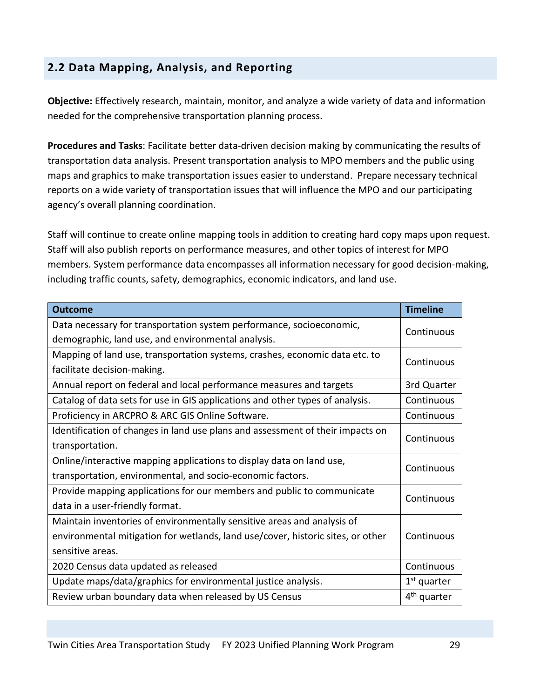# **2.2 Data Mapping, Analysis, and Reporting**

**Objective:** Effectively research, maintain, monitor, and analyze a wide variety of data and information needed for the comprehensive transportation planning process.

**Procedures and Tasks**: Facilitate better data-driven decision making by communicating the results of transportation data analysis. Present transportation analysis to MPO members and the public using maps and graphics to make transportation issues easier to understand. Prepare necessary technical reports on a wide variety of transportation issues that will influence the MPO and our participating agency's overall planning coordination.

Staff will continue to create online mapping tools in addition to creating hard copy maps upon request. Staff will also publish reports on performance measures, and other topics of interest for MPO members. System performance data encompasses all information necessary for good decision-making, including traffic counts, safety, demographics, economic indicators, and land use.

| <b>Outcome</b>                                                                  | <b>Timeline</b>         |
|---------------------------------------------------------------------------------|-------------------------|
| Data necessary for transportation system performance, socioeconomic,            | Continuous              |
| demographic, land use, and environmental analysis.                              |                         |
| Mapping of land use, transportation systems, crashes, economic data etc. to     | Continuous              |
| facilitate decision-making.                                                     |                         |
| Annual report on federal and local performance measures and targets             | 3rd Quarter             |
| Catalog of data sets for use in GIS applications and other types of analysis.   | Continuous              |
| Proficiency in ARCPRO & ARC GIS Online Software.                                | Continuous              |
| Identification of changes in land use plans and assessment of their impacts on  | Continuous              |
| transportation.                                                                 |                         |
| Online/interactive mapping applications to display data on land use,            | Continuous              |
| transportation, environmental, and socio-economic factors.                      |                         |
| Provide mapping applications for our members and public to communicate          | Continuous              |
| data in a user-friendly format.                                                 |                         |
| Maintain inventories of environmentally sensitive areas and analysis of         |                         |
| environmental mitigation for wetlands, land use/cover, historic sites, or other | Continuous              |
| sensitive areas.                                                                |                         |
| 2020 Census data updated as released                                            | Continuous              |
| Update maps/data/graphics for environmental justice analysis.                   | $1st$ quarter           |
| Review urban boundary data when released by US Census                           | 4 <sup>th</sup> quarter |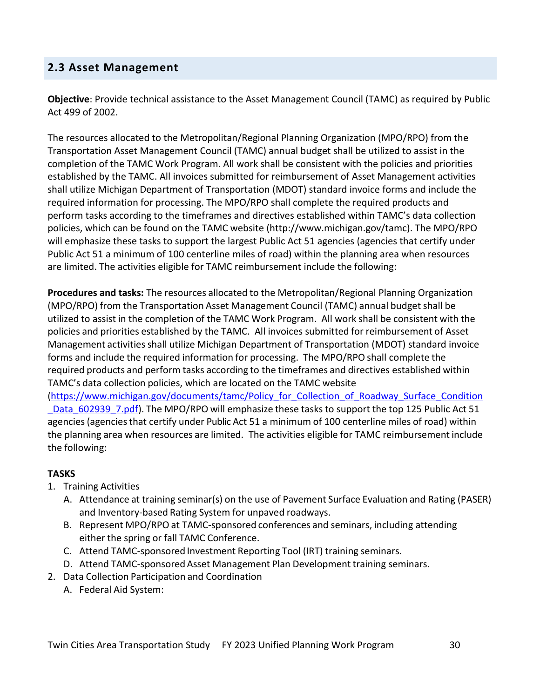### **2.3 Asset Management**

**Objective**: Provide technical assistance to the Asset Management Council (TAMC) as required by Public Act 499 of 2002.

The resources allocated to the Metropolitan/Regional Planning Organization (MPO/RPO) from the Transportation Asset Management Council (TAMC) annual budget shall be utilized to assist in the completion of the TAMC Work Program. All work shall be consistent with the policies and priorities established by the TAMC. All invoices submitted for reimbursement of Asset Management activities shall utilize Michigan Department of Transportation (MDOT) standard invoice forms and include the required information for processing. The MPO/RPO shall complete the required products and perform tasks according to the timeframes and directives established within TAMC's data collection policies, which can be found on the TAMC website (http://www.michigan.gov/tamc). The MPO/RPO will emphasize these tasks to support the largest Public Act 51 agencies (agencies that certify under Public Act 51 a minimum of 100 centerline miles of road) within the planning area when resources are limited. The activities eligible for TAMC reimbursement include the following:

**Procedures and tasks:** The resources allocated to the Metropolitan/Regional Planning Organization (MPO/RPO) from the Transportation Asset Management Council (TAMC) annual budget shall be utilized to assist in the completion of the TAMC Work Program. All work shall be consistent with the policies and priorities established by the TAMC. All invoices submitted for reimbursement of Asset Management activitiesshall utilize Michigan Department of Transportation (MDOT) standard invoice forms and include the required information for processing. The MPO/RPO shall complete the required products and perform tasks according to the timeframes and directives established within TAMC's data collection policies, which are located on the TAMC website (https://www.michigan.gov/documents/tamc/Policy\_for\_Collection\_of\_Roadway\_Surface\_Condition Data 602939 7.pdf). The MPO/RPO will emphasize these tasks to support the top 125 Public Act 51 agencies (agencies that certify under Public Act 51 a minimum of 100 centerline miles of road) within the planning area when resources are limited. The activities eligible for TAMC reimbursement include the following:

#### **TASKS**

- 1. Training Activities
	- A. Attendance at training seminar(s) on the use of Pavement Surface Evaluation and Rating (PASER) and Inventory-based Rating System for unpaved roadways.
	- B. Represent MPO/RPO at TAMC-sponsored conferences and seminars, including attending either the spring or fall TAMC Conference.
	- C. Attend TAMC-sponsored Investment Reporting Tool (IRT) training seminars.
	- D. Attend TAMC-sponsored Asset Management Plan Development training seminars.
- 2. Data Collection Participation and Coordination
	- A. Federal Aid System: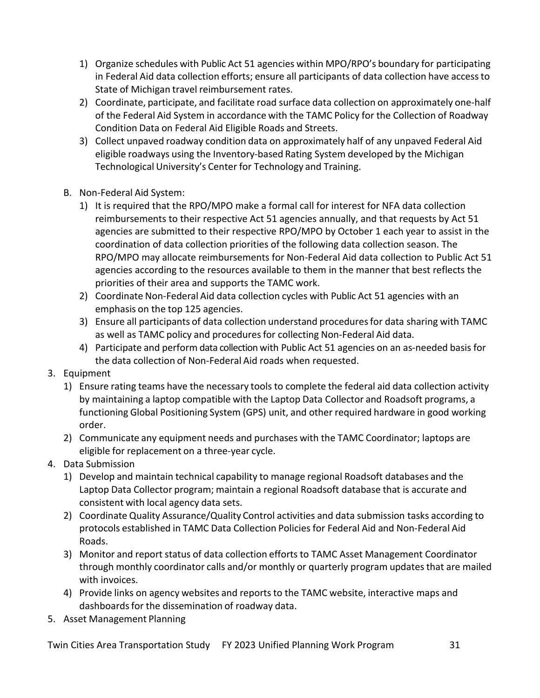- 1) Organize schedules with Public Act 51 agencies within MPO/RPO's boundary for participating in Federal Aid data collection efforts; ensure all participants of data collection have accessto State of Michigan travel reimbursement rates.
- 2) Coordinate, participate, and facilitate road surface data collection on approximately one-half of the Federal Aid System in accordance with the TAMC Policy for the Collection of Roadway Condition Data on Federal Aid Eligible Roads and Streets.
- 3) Collect unpaved roadway condition data on approximately half of any unpaved Federal Aid eligible roadways using the Inventory-based Rating System developed by the Michigan Technological University's Center for Technology and Training.
- B. Non-Federal Aid System:
	- 1) It is required that the RPO/MPO make a formal call for interest for NFA data collection reimbursements to their respective Act 51 agencies annually, and that requests by Act 51 agencies are submitted to their respective RPO/MPO by October 1 each year to assist in the coordination of data collection priorities of the following data collection season. The RPO/MPO may allocate reimbursements for Non-Federal Aid data collection to Public Act 51 agencies according to the resources available to them in the manner that best reflects the priorities of their area and supports the TAMC work.
	- 2) Coordinate Non-Federal Aid data collection cycles with Public Act 51 agencies with an emphasis on the top 125 agencies.
	- 3) Ensure all participants of data collection understand proceduresfor data sharing with TAMC as well as TAMC policy and procedures for collecting Non-Federal Aid data.
	- 4) Participate and perform data collection with Public Act 51 agencies on an as-needed basis for the data collection of Non-Federal Aid roads when requested.
- 3. Equipment
	- 1) Ensure rating teams have the necessary tools to complete the federal aid data collection activity by maintaining a laptop compatible with the Laptop Data Collector and Roadsoft programs, a functioning Global Positioning System (GPS) unit, and other required hardware in good working order.
	- 2) Communicate any equipment needs and purchases with the TAMC Coordinator; laptops are eligible for replacement on a three-year cycle.
- 4. Data Submission
	- 1) Develop and maintain technical capability to manage regional Roadsoft databases and the Laptop Data Collector program; maintain a regional Roadsoft database that is accurate and consistent with local agency data sets.
	- 2) Coordinate Quality Assurance/Quality Control activities and data submission tasks according to protocols established in TAMC Data Collection Policiesfor Federal Aid and Non-Federal Aid Roads.
	- 3) Monitor and report status of data collection efforts to TAMC Asset Management Coordinator through monthly coordinator calls and/or monthly or quarterly program updatesthat are mailed with invoices.
	- 4) Provide links on agency websites and reportsto the TAMC website, interactive maps and dashboards for the dissemination of roadway data.
- 5. Asset Management Planning

Twin Cities Area Transportation Study FY 2023 Unified Planning Work Program 31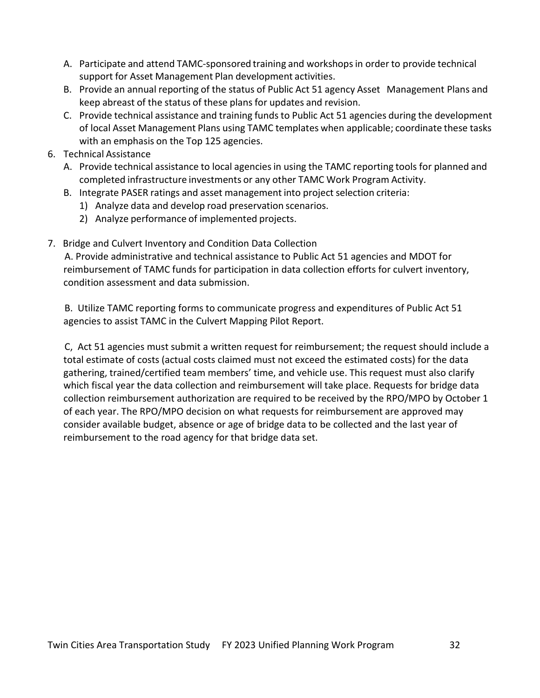- A. Participate and attend TAMC-sponsored training and workshopsin order to provide technical support for Asset Management Plan development activities.
- B. Provide an annual reporting of the status of Public Act 51 agency Asset Management Plans and keep abreast of the status of these plans for updates and revision.
- C. Provide technical assistance and training funds to Public Act 51 agencies during the development of local Asset Management Plans using TAMC templates when applicable; coordinate these tasks with an emphasis on the Top 125 agencies.
- 6. Technical Assistance
	- A. Provide technical assistance to local agencies in using the TAMC reporting tools for planned and completed infrastructure investments or any other TAMC Work Program Activity.
	- B. Integrate PASER ratings and asset management into project selection criteria:
		- 1) Analyze data and develop road preservation scenarios.
		- 2) Analyze performance of implemented projects.
- 7. Bridge and Culvert Inventory and Condition Data Collection

A. Provide administrative and technical assistance to Public Act 51 agencies and MDOT for reimbursement of TAMC funds for participation in data collection efforts for culvert inventory, condition assessment and data submission.

B. Utilize TAMC reporting forms to communicate progress and expenditures of Public Act 51 agencies to assist TAMC in the Culvert Mapping Pilot Report.

C, Act 51 agencies must submit a written request for reimbursement; the request should include a total estimate of costs (actual costs claimed must not exceed the estimated costs) for the data gathering, trained/certified team members' time, and vehicle use. This request must also clarify which fiscal year the data collection and reimbursement will take place. Requests for bridge data collection reimbursement authorization are required to be received by the RPO/MPO by October 1 of each year. The RPO/MPO decision on what requests for reimbursement are approved may consider available budget, absence or age of bridge data to be collected and the last year of reimbursement to the road agency for that bridge data set.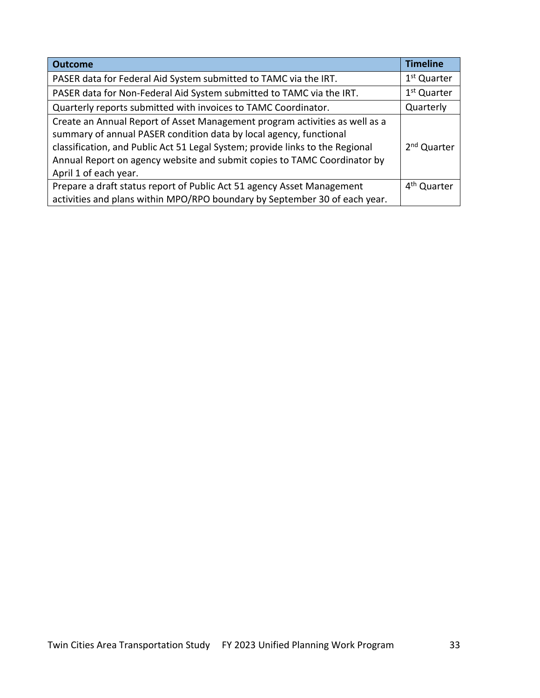| <b>Outcome</b>                                                                                                                                                                                                                                                                                                                          | <b>Timeline</b>         |
|-----------------------------------------------------------------------------------------------------------------------------------------------------------------------------------------------------------------------------------------------------------------------------------------------------------------------------------------|-------------------------|
| PASER data for Federal Aid System submitted to TAMC via the IRT.                                                                                                                                                                                                                                                                        | 1 <sup>st</sup> Quarter |
| PASER data for Non-Federal Aid System submitted to TAMC via the IRT.                                                                                                                                                                                                                                                                    | 1 <sup>st</sup> Quarter |
| Quarterly reports submitted with invoices to TAMC Coordinator.                                                                                                                                                                                                                                                                          | Quarterly               |
| Create an Annual Report of Asset Management program activities as well as a<br>summary of annual PASER condition data by local agency, functional<br>classification, and Public Act 51 Legal System; provide links to the Regional<br>Annual Report on agency website and submit copies to TAMC Coordinator by<br>April 1 of each year. | 2 <sup>nd</sup> Quarter |
| Prepare a draft status report of Public Act 51 agency Asset Management                                                                                                                                                                                                                                                                  | 4 <sup>th</sup> Quarter |
| activities and plans within MPO/RPO boundary by September 30 of each year.                                                                                                                                                                                                                                                              |                         |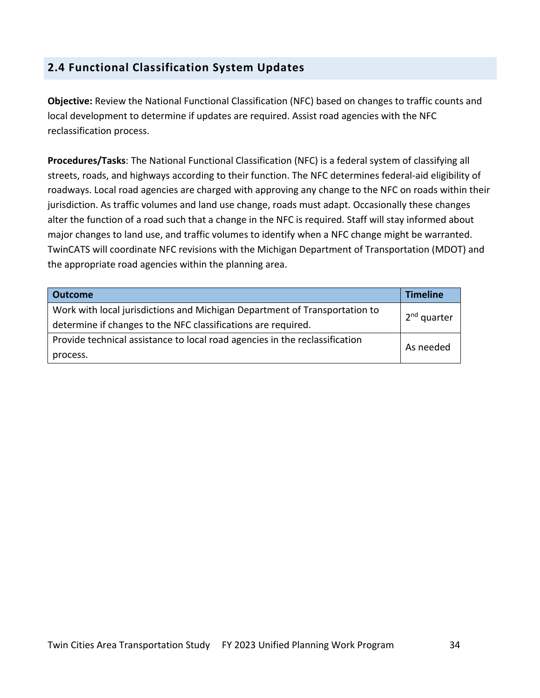# **2.4 Functional Classification System Updates**

**Objective:** Review the National Functional Classification (NFC) based on changes to traffic counts and local development to determine if updates are required. Assist road agencies with the NFC reclassification process.

**Procedures/Tasks**: The National Functional Classification (NFC) is a federal system of classifying all streets, roads, and highways according to their function. The NFC determines federal-aid eligibility of roadways. Local road agencies are charged with approving any change to the NFC on roads within their jurisdiction. As traffic volumes and land use change, roads must adapt. Occasionally these changes alter the function of a road such that a change in the NFC is required. Staff will stay informed about major changes to land use, and traffic volumes to identify when a NFC change might be warranted. TwinCATS will coordinate NFC revisions with the Michigan Department of Transportation (MDOT) and the appropriate road agencies within the planning area.

| <b>Outcome</b>                                                              | Timeline                |  |
|-----------------------------------------------------------------------------|-------------------------|--|
| Work with local jurisdictions and Michigan Department of Transportation to  |                         |  |
| determine if changes to the NFC classifications are required.               | 2 <sup>nd</sup> quarter |  |
| Provide technical assistance to local road agencies in the reclassification | As needed               |  |
| process.                                                                    |                         |  |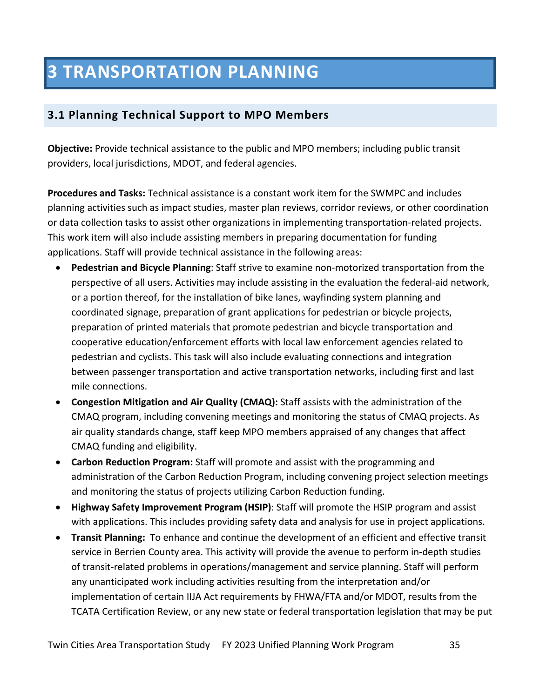# **3 TRANSPORTATION PLANNING**

# **3.1 Planning Technical Support to MPO Members**

**Objective:** Provide technical assistance to the public and MPO members; including public transit providers, local jurisdictions, MDOT, and federal agencies.

**Procedures and Tasks:** Technical assistance is a constant work item for the SWMPC and includes planning activities such as impact studies, master plan reviews, corridor reviews, or other coordination or data collection tasks to assist other organizations in implementing transportation-related projects. This work item will also include assisting members in preparing documentation for funding applications. Staff will provide technical assistance in the following areas:

- **Pedestrian and Bicycle Planning**: Staff strive to examine non-motorized transportation from the perspective of all users. Activities may include assisting in the evaluation the federal-aid network, or a portion thereof, for the installation of bike lanes, wayfinding system planning and coordinated signage, preparation of grant applications for pedestrian or bicycle projects, preparation of printed materials that promote pedestrian and bicycle transportation and cooperative education/enforcement efforts with local law enforcement agencies related to pedestrian and cyclists. This task will also include evaluating connections and integration between passenger transportation and active transportation networks, including first and last mile connections.
- **Congestion Mitigation and Air Quality (CMAQ):** Staff assists with the administration of the CMAQ program, including convening meetings and monitoring the status of CMAQ projects. As air quality standards change, staff keep MPO members appraised of any changes that affect CMAQ funding and eligibility.
- **Carbon Reduction Program:** Staff will promote and assist with the programming and administration of the Carbon Reduction Program, including convening project selection meetings and monitoring the status of projects utilizing Carbon Reduction funding.
- **Highway Safety Improvement Program (HSIP)**: Staff will promote the HSIP program and assist with applications. This includes providing safety data and analysis for use in project applications.
- **Transit Planning:** To enhance and continue the development of an efficient and effective transit service in Berrien County area. This activity will provide the avenue to perform in-depth studies of transit-related problems in operations/management and service planning. Staff will perform any unanticipated work including activities resulting from the interpretation and/or implementation of certain IIJA Act requirements by FHWA/FTA and/or MDOT, results from the TCATA Certification Review, or any new state or federal transportation legislation that may be put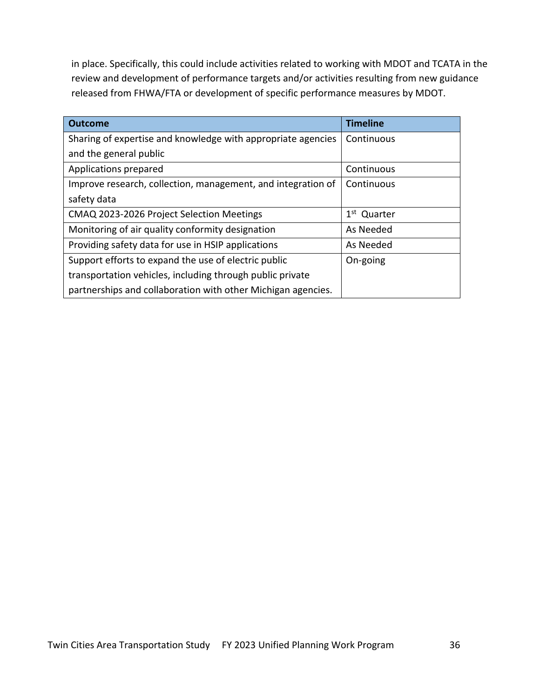in place. Specifically, this could include activities related to working with MDOT and TCATA in the review and development of performance targets and/or activities resulting from new guidance released from FHWA/FTA or development of specific performance measures by MDOT.

| <b>Outcome</b>                                               | <b>Timeline</b>         |
|--------------------------------------------------------------|-------------------------|
| Sharing of expertise and knowledge with appropriate agencies | Continuous              |
| and the general public                                       |                         |
| Applications prepared                                        | Continuous              |
| Improve research, collection, management, and integration of | Continuous              |
| safety data                                                  |                         |
| CMAQ 2023-2026 Project Selection Meetings                    | 1 <sup>st</sup> Quarter |
| Monitoring of air quality conformity designation             | As Needed               |
| Providing safety data for use in HSIP applications           | As Needed               |
| Support efforts to expand the use of electric public         | On-going                |
| transportation vehicles, including through public private    |                         |
| partnerships and collaboration with other Michigan agencies. |                         |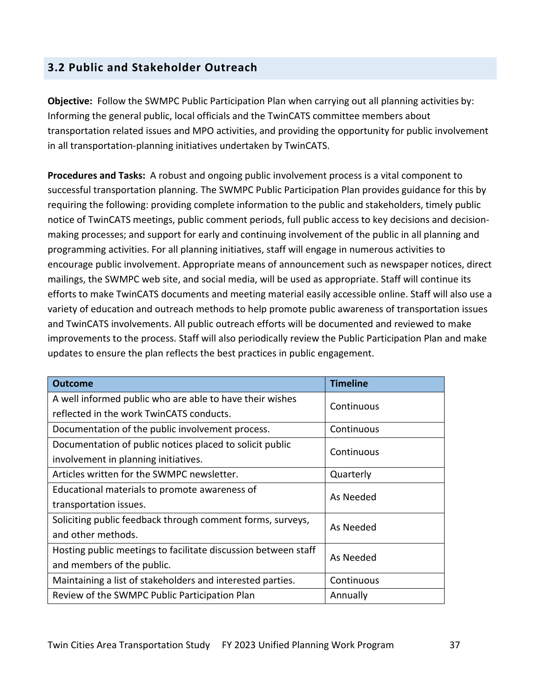# **3.2 Public and Stakeholder Outreach**

**Objective:** Follow the SWMPC Public Participation Plan when carrying out all planning activities by: Informing the general public, local officials and the TwinCATS committee members about transportation related issues and MPO activities, and providing the opportunity for public involvement in all transportation-planning initiatives undertaken by TwinCATS.

**Procedures and Tasks:** A robust and ongoing public involvement process is a vital component to successful transportation planning. The SWMPC Public Participation Plan provides guidance for this by requiring the following: providing complete information to the public and stakeholders, timely public notice of TwinCATS meetings, public comment periods, full public access to key decisions and decisionmaking processes; and support for early and continuing involvement of the public in all planning and programming activities. For all planning initiatives, staff will engage in numerous activities to encourage public involvement. Appropriate means of announcement such as newspaper notices, direct mailings, the SWMPC web site, and social media, will be used as appropriate. Staff will continue its efforts to make TwinCATS documents and meeting material easily accessible online. Staff will also use a variety of education and outreach methods to help promote public awareness of transportation issues and TwinCATS involvements. All public outreach efforts will be documented and reviewed to make improvements to the process. Staff will also periodically review the Public Participation Plan and make updates to ensure the plan reflects the best practices in public engagement.

| <b>Outcome</b>                                                 | <b>Timeline</b> |  |
|----------------------------------------------------------------|-----------------|--|
| A well informed public who are able to have their wishes       | Continuous      |  |
| reflected in the work TwinCATS conducts.                       |                 |  |
| Documentation of the public involvement process.               | Continuous      |  |
| Documentation of public notices placed to solicit public       | Continuous      |  |
| involvement in planning initiatives.                           |                 |  |
| Articles written for the SWMPC newsletter.                     | Quarterly       |  |
| Educational materials to promote awareness of                  |                 |  |
| transportation issues.                                         | As Needed       |  |
| Soliciting public feedback through comment forms, surveys,     | As Needed       |  |
| and other methods.                                             |                 |  |
| Hosting public meetings to facilitate discussion between staff | As Needed       |  |
| and members of the public.                                     |                 |  |
| Maintaining a list of stakeholders and interested parties.     | Continuous      |  |
| Review of the SWMPC Public Participation Plan                  | Annually        |  |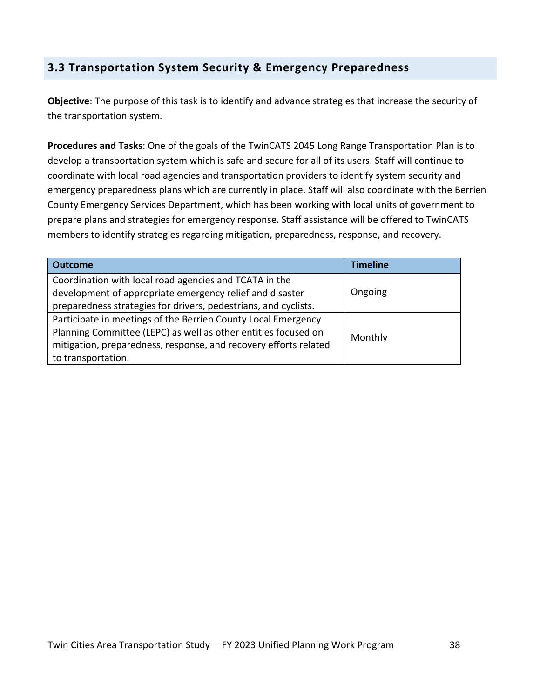# **3.3 Transportation System Security & Emergency Preparedness**

**Objective**: The purpose of this task is to identify and advance strategies that increase the security of the transportation system.

**Procedures and Tasks**: One of the goals of the TwinCATS 2045 Long Range Transportation Plan is to develop a transportation system which is safe and secure for all of its users. Staff will continue to coordinate with local road agencies and transportation providers to identify system security and emergency preparedness plans which are currently in place. Staff will also coordinate with the Berrien County Emergency Services Department, which has been working with local units of government to prepare plans and strategies for emergency response. Staff assistance will be offered to TwinCATS members to identify strategies regarding mitigation, preparedness, response, and recovery.

| <b>Outcome</b>                                                                                                                                                                                                            | <b>Timeline</b> |
|---------------------------------------------------------------------------------------------------------------------------------------------------------------------------------------------------------------------------|-----------------|
| Coordination with local road agencies and TCATA in the<br>development of appropriate emergency relief and disaster<br>preparedness strategies for drivers, pedestrians, and cyclists.                                     | Ongoing         |
| Participate in meetings of the Berrien County Local Emergency<br>Planning Committee (LEPC) as well as other entities focused on<br>mitigation, preparedness, response, and recovery efforts related<br>to transportation. | Monthly         |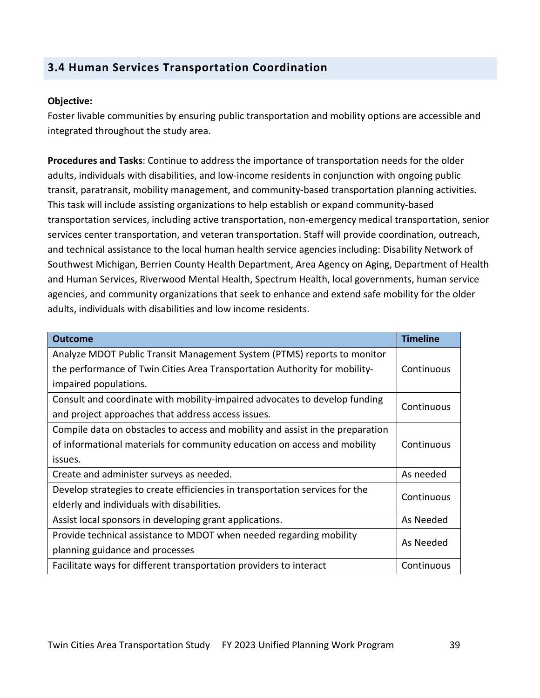### **3.4 Human Services Transportation Coordination**

#### **Objective:**

Foster livable communities by ensuring public transportation and mobility options are accessible and integrated throughout the study area.

**Procedures and Tasks**: Continue to address the importance of transportation needs for the older adults, individuals with disabilities, and low-income residents in conjunction with ongoing public transit, paratransit, mobility management, and community-based transportation planning activities. This task will include assisting organizations to help establish or expand community-based transportation services, including active transportation, non-emergency medical transportation, senior services center transportation, and veteran transportation. Staff will provide coordination, outreach, and technical assistance to the local human health service agencies including: Disability Network of Southwest Michigan, Berrien County Health Department, Area Agency on Aging, Department of Health and Human Services, Riverwood Mental Health, Spectrum Health, local governments, human service agencies, and community organizations that seek to enhance and extend safe mobility for the older adults, individuals with disabilities and low income residents.

| <b>Outcome</b>                                                                 | <b>Timeline</b> |
|--------------------------------------------------------------------------------|-----------------|
| Analyze MDOT Public Transit Management System (PTMS) reports to monitor        |                 |
| the performance of Twin Cities Area Transportation Authority for mobility-     | Continuous      |
| impaired populations.                                                          |                 |
| Consult and coordinate with mobility-impaired advocates to develop funding     | Continuous      |
| and project approaches that address access issues.                             |                 |
| Compile data on obstacles to access and mobility and assist in the preparation |                 |
| of informational materials for community education on access and mobility      | Continuous      |
| issues.                                                                        |                 |
| Create and administer surveys as needed.                                       | As needed       |
| Develop strategies to create efficiencies in transportation services for the   | Continuous      |
| elderly and individuals with disabilities.                                     |                 |
| Assist local sponsors in developing grant applications.                        | As Needed       |
| Provide technical assistance to MDOT when needed regarding mobility            | As Needed       |
| planning guidance and processes                                                |                 |
| Facilitate ways for different transportation providers to interact             | Continuous      |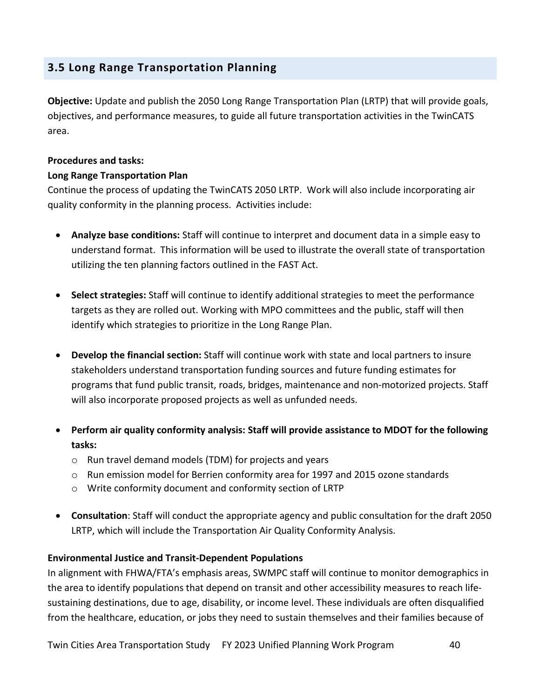# **3.5 Long Range Transportation Planning**

**Objective:** Update and publish the 2050 Long Range Transportation Plan (LRTP) that will provide goals, objectives, and performance measures, to guide all future transportation activities in the TwinCATS area.

#### **Procedures and tasks:**

#### **Long Range Transportation Plan**

Continue the process of updating the TwinCATS 2050 LRTP. Work will also include incorporating air quality conformity in the planning process. Activities include:

- **Analyze base conditions:** Staff will continue to interpret and document data in a simple easy to understand format. This information will be used to illustrate the overall state of transportation utilizing the ten planning factors outlined in the FAST Act.
- **Select strategies:** Staff will continue to identify additional strategies to meet the performance targets as they are rolled out. Working with MPO committees and the public, staff will then identify which strategies to prioritize in the Long Range Plan.
- **Develop the financial section:** Staff will continue work with state and local partners to insure stakeholders understand transportation funding sources and future funding estimates for programs that fund public transit, roads, bridges, maintenance and non-motorized projects. Staff will also incorporate proposed projects as well as unfunded needs.
- **Perform air quality conformity analysis: Staff will provide assistance to MDOT for the following tasks:** 
	- o Run travel demand models (TDM) for projects and years
	- o Run emission model for Berrien conformity area for 1997 and 2015 ozone standards
	- o Write conformity document and conformity section of LRTP
- **Consultation**: Staff will conduct the appropriate agency and public consultation for the draft 2050 LRTP, which will include the Transportation Air Quality Conformity Analysis.

#### **Environmental Justice and Transit-Dependent Populations**

In alignment with FHWA/FTA's emphasis areas, SWMPC staff will continue to monitor demographics in the area to identify populations that depend on transit and other accessibility measures to reach lifesustaining destinations, due to age, disability, or income level. These individuals are often disqualified from the healthcare, education, or jobs they need to sustain themselves and their families because of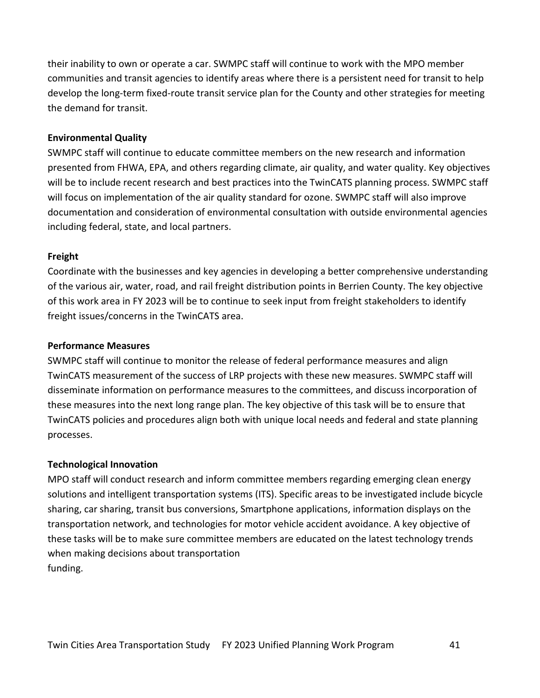their inability to own or operate a car. SWMPC staff will continue to work with the MPO member communities and transit agencies to identify areas where there is a persistent need for transit to help develop the long-term fixed-route transit service plan for the County and other strategies for meeting the demand for transit.

#### **Environmental Quality**

SWMPC staff will continue to educate committee members on the new research and information presented from FHWA, EPA, and others regarding climate, air quality, and water quality. Key objectives will be to include recent research and best practices into the TwinCATS planning process. SWMPC staff will focus on implementation of the air quality standard for ozone. SWMPC staff will also improve documentation and consideration of environmental consultation with outside environmental agencies including federal, state, and local partners.

#### **Freight**

Coordinate with the businesses and key agencies in developing a better comprehensive understanding of the various air, water, road, and rail freight distribution points in Berrien County. The key objective of this work area in FY 2023 will be to continue to seek input from freight stakeholders to identify freight issues/concerns in the TwinCATS area.

#### **Performance Measures**

SWMPC staff will continue to monitor the release of federal performance measures and align TwinCATS measurement of the success of LRP projects with these new measures. SWMPC staff will disseminate information on performance measures to the committees, and discuss incorporation of these measures into the next long range plan. The key objective of this task will be to ensure that TwinCATS policies and procedures align both with unique local needs and federal and state planning processes.

#### **Technological Innovation**

MPO staff will conduct research and inform committee members regarding emerging clean energy solutions and intelligent transportation systems (ITS). Specific areas to be investigated include bicycle sharing, car sharing, transit bus conversions, Smartphone applications, information displays on the transportation network, and technologies for motor vehicle accident avoidance. A key objective of these tasks will be to make sure committee members are educated on the latest technology trends when making decisions about transportation funding.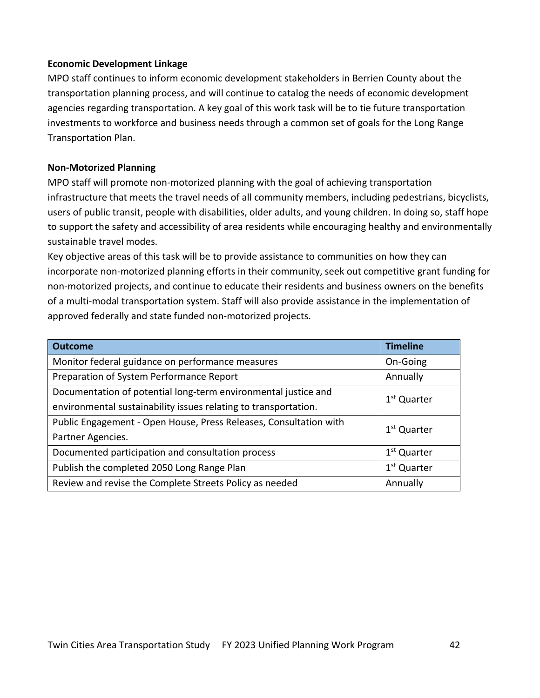#### **Economic Development Linkage**

MPO staff continues to inform economic development stakeholders in Berrien County about the transportation planning process, and will continue to catalog the needs of economic development agencies regarding transportation. A key goal of this work task will be to tie future transportation investments to workforce and business needs through a common set of goals for the Long Range Transportation Plan.

#### **Non-Motorized Planning**

MPO staff will promote non-motorized planning with the goal of achieving transportation infrastructure that meets the travel needs of all community members, including pedestrians, bicyclists, users of public transit, people with disabilities, older adults, and young children. In doing so, staff hope to support the safety and accessibility of area residents while encouraging healthy and environmentally sustainable travel modes.

Key objective areas of this task will be to provide assistance to communities on how they can incorporate non-motorized planning efforts in their community, seek out competitive grant funding for non-motorized projects, and continue to educate their residents and business owners on the benefits of a multi-modal transportation system. Staff will also provide assistance in the implementation of approved federally and state funded non-motorized projects.

| <b>Outcome</b>                                                    | <b>Timeline</b>         |
|-------------------------------------------------------------------|-------------------------|
| Monitor federal guidance on performance measures                  | On-Going                |
| Preparation of System Performance Report                          | Annually                |
| Documentation of potential long-term environmental justice and    | 1 <sup>st</sup> Quarter |
| environmental sustainability issues relating to transportation.   |                         |
| Public Engagement - Open House, Press Releases, Consultation with | 1 <sup>st</sup> Quarter |
| Partner Agencies.                                                 |                         |
| Documented participation and consultation process                 | 1 <sup>st</sup> Quarter |
| Publish the completed 2050 Long Range Plan                        | 1 <sup>st</sup> Quarter |
| Review and revise the Complete Streets Policy as needed           | Annually                |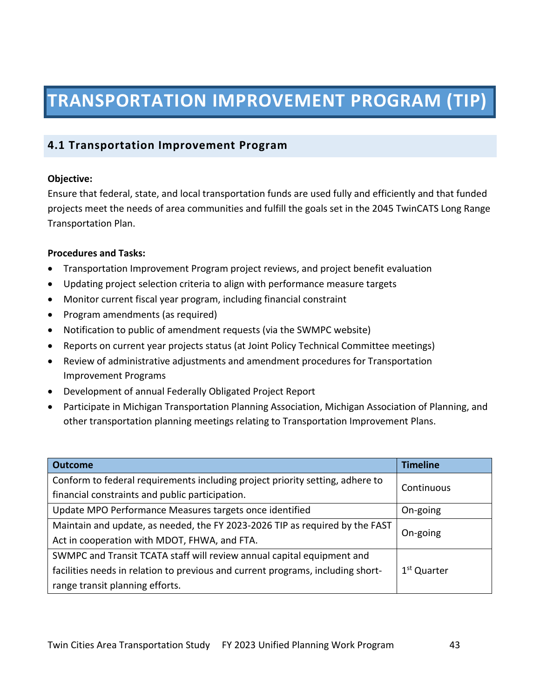# **TRANSPORTATION IMPROVEMENT PROGRAM (TIP)**

# **4.1 Transportation Improvement Program**

#### **Objective:**

Ensure that federal, state, and local transportation funds are used fully and efficiently and that funded projects meet the needs of area communities and fulfill the goals set in the 2045 TwinCATS Long Range Transportation Plan.

#### **Procedures and Tasks:**

- Transportation Improvement Program project reviews, and project benefit evaluation
- Updating project selection criteria to align with performance measure targets
- Monitor current fiscal year program, including financial constraint
- Program amendments (as required)
- Notification to public of amendment requests (via the SWMPC website)
- Reports on current year projects status (at Joint Policy Technical Committee meetings)
- Review of administrative adjustments and amendment procedures for Transportation Improvement Programs
- Development of annual Federally Obligated Project Report
- Participate in Michigan Transportation Planning Association, Michigan Association of Planning, and other transportation planning meetings relating to Transportation Improvement Plans.

| <b>Outcome</b>                                                                  | <b>Timeline</b>         |  |
|---------------------------------------------------------------------------------|-------------------------|--|
| Conform to federal requirements including project priority setting, adhere to   | Continuous              |  |
| financial constraints and public participation.                                 |                         |  |
| Update MPO Performance Measures targets once identified                         | On-going                |  |
| Maintain and update, as needed, the FY 2023-2026 TIP as required by the FAST    |                         |  |
| Act in cooperation with MDOT, FHWA, and FTA.                                    | On-going                |  |
| SWMPC and Transit TCATA staff will review annual capital equipment and          |                         |  |
| facilities needs in relation to previous and current programs, including short- | 1 <sup>st</sup> Quarter |  |
| range transit planning efforts.                                                 |                         |  |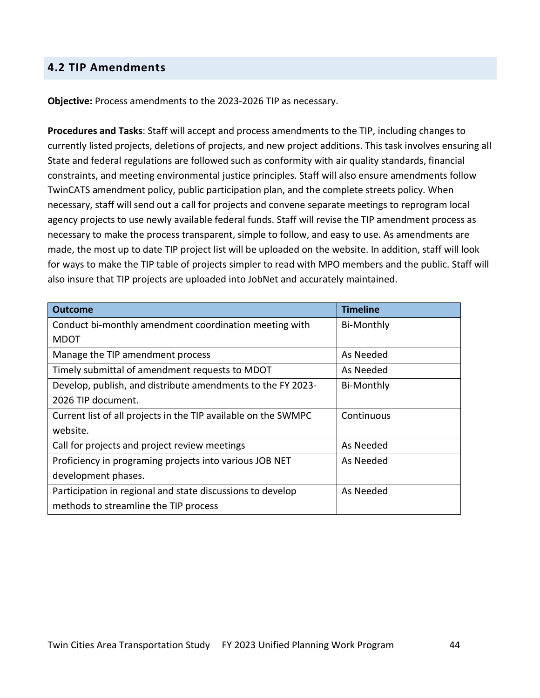#### **4.2 TIP Amendments**

**Objective:** Process amendments to the 2023-2026 TIP as necessary.

**Procedures and Tasks**: Staff will accept and process amendments to the TIP, including changes to currently listed projects, deletions of projects, and new project additions. This task involves ensuring all State and federal regulations are followed such as conformity with air quality standards, financial constraints, and meeting environmental justice principles. Staff will also ensure amendments follow TwinCATS amendment policy, public participation plan, and the complete streets policy. When necessary, staff will send out a call for projects and convene separate meetings to reprogram local agency projects to use newly available federal funds. Staff will revise the TIP amendment process as necessary to make the process transparent, simple to follow, and easy to use. As amendments are made, the most up to date TIP project list will be uploaded on the website. In addition, staff will look for ways to make the TIP table of projects simpler to read with MPO members and the public. Staff will also insure that TIP projects are uploaded into JobNet and accurately maintained.

| <b>Outcome</b>                                                 | <b>Timeline</b>   |
|----------------------------------------------------------------|-------------------|
| Conduct bi-monthly amendment coordination meeting with         | Bi-Monthly        |
| <b>MDOT</b>                                                    |                   |
| Manage the TIP amendment process                               | As Needed         |
| Timely submittal of amendment requests to MDOT                 | As Needed         |
| Develop, publish, and distribute amendments to the FY 2023-    | <b>Bi-Monthly</b> |
| 2026 TIP document.                                             |                   |
| Current list of all projects in the TIP available on the SWMPC | Continuous        |
| website.                                                       |                   |
| Call for projects and project review meetings                  | As Needed         |
| Proficiency in programing projects into various JOB NET        | As Needed         |
| development phases.                                            |                   |
| Participation in regional and state discussions to develop     | As Needed         |
| methods to streamline the TIP process                          |                   |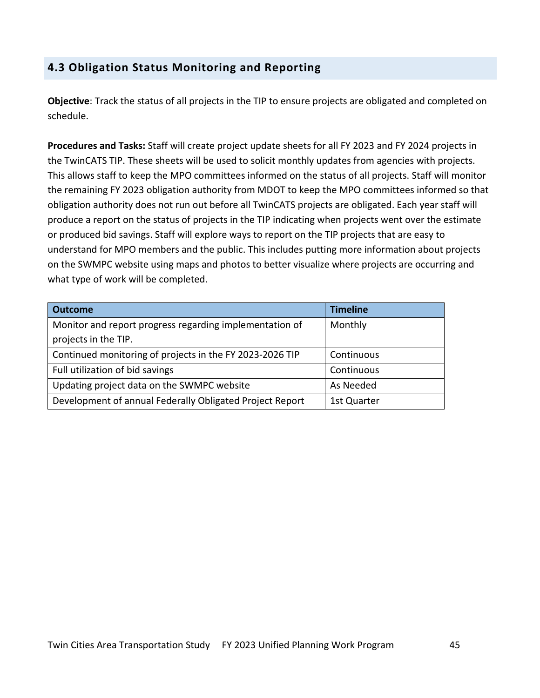# **4.3 Obligation Status Monitoring and Reporting**

**Objective**: Track the status of all projects in the TIP to ensure projects are obligated and completed on schedule.

**Procedures and Tasks:** Staff will create project update sheets for all FY 2023 and FY 2024 projects in the TwinCATS TIP. These sheets will be used to solicit monthly updates from agencies with projects. This allows staff to keep the MPO committees informed on the status of all projects. Staff will monitor the remaining FY 2023 obligation authority from MDOT to keep the MPO committees informed so that obligation authority does not run out before all TwinCATS projects are obligated. Each year staff will produce a report on the status of projects in the TIP indicating when projects went over the estimate or produced bid savings. Staff will explore ways to report on the TIP projects that are easy to understand for MPO members and the public. This includes putting more information about projects on the SWMPC website using maps and photos to better visualize where projects are occurring and what type of work will be completed.

| <b>Outcome</b>                                           | <b>Timeline</b> |
|----------------------------------------------------------|-----------------|
| Monitor and report progress regarding implementation of  | Monthly         |
| projects in the TIP.                                     |                 |
| Continued monitoring of projects in the FY 2023-2026 TIP | Continuous      |
| Full utilization of bid savings                          | Continuous      |
| Updating project data on the SWMPC website               | As Needed       |
| Development of annual Federally Obligated Project Report | 1st Quarter     |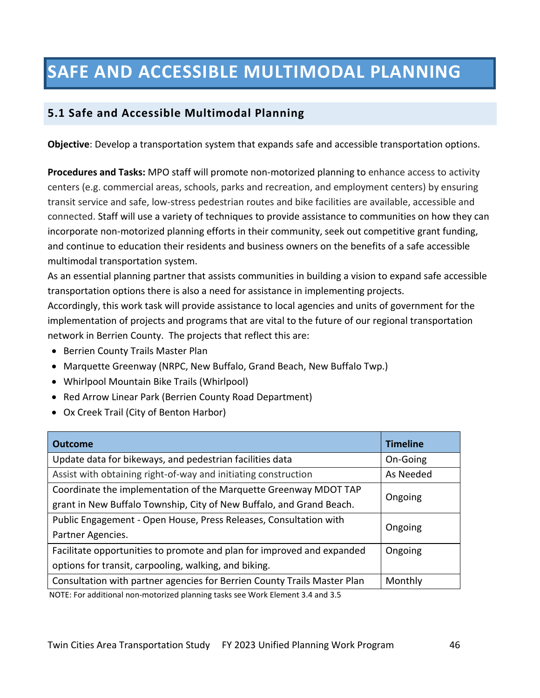# **SAFE AND ACCESSIBLE MULTIMODAL PLANNING**

### **5.1 Safe and Accessible Multimodal Planning**

**Objective**: Develop a transportation system that expands safe and accessible transportation options.

**Procedures and Tasks:** MPO staff will promote non-motorized planning to enhance access to activity centers (e.g. commercial areas, schools, parks and recreation, and employment centers) by ensuring transit service and safe, low-stress pedestrian routes and bike facilities are available, accessible and connected. Staff will use a variety of techniques to provide assistance to communities on how they can incorporate non-motorized planning efforts in their community, seek out competitive grant funding, and continue to education their residents and business owners on the benefits of a safe accessible multimodal transportation system.

As an essential planning partner that assists communities in building a vision to expand safe accessible transportation options there is also a need for assistance in implementing projects.

Accordingly, this work task will provide assistance to local agencies and units of government for the implementation of projects and programs that are vital to the future of our regional transportation network in Berrien County. The projects that reflect this are:

- Berrien County Trails Master Plan
- Marquette Greenway (NRPC, New Buffalo, Grand Beach, New Buffalo Twp.)
- Whirlpool Mountain Bike Trails (Whirlpool)
- Red Arrow Linear Park (Berrien County Road Department)
- Ox Creek Trail (City of Benton Harbor)

| <b>Outcome</b>                                                                                                    | <b>Timeline</b> |  |
|-------------------------------------------------------------------------------------------------------------------|-----------------|--|
| Update data for bikeways, and pedestrian facilities data                                                          | On-Going        |  |
| Assist with obtaining right-of-way and initiating construction                                                    | As Needed       |  |
| Coordinate the implementation of the Marquette Greenway MDOT TAP                                                  | Ongoing         |  |
| grant in New Buffalo Township, City of New Buffalo, and Grand Beach.                                              |                 |  |
| Public Engagement - Open House, Press Releases, Consultation with                                                 |                 |  |
| Partner Agencies.                                                                                                 | Ongoing         |  |
| Facilitate opportunities to promote and plan for improved and expanded                                            | Ongoing         |  |
| options for transit, carpooling, walking, and biking.                                                             |                 |  |
| Consultation with partner agencies for Berrien County Trails Master Plan                                          | Monthly         |  |
| المقاطر المستحقق والمتحال والمستحدث والمستحدث والمستحيل والمنافس والمنافس والمنافسة والمستحدث والمستحدث والمستحدث |                 |  |

NOTE: For additional non-motorized planning tasks see Work Element 3.4 and 3.5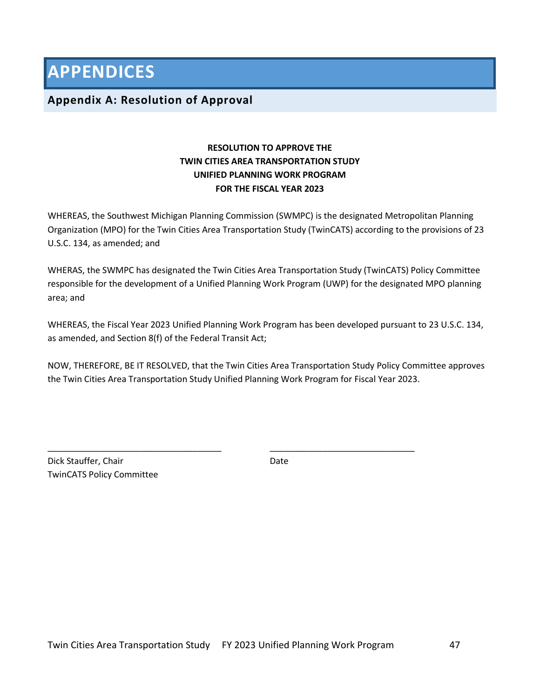**APPENDICES**

#### **Appendix A: Resolution of Approval**

#### **RESOLUTION TO APPROVE THE TWIN CITIES AREA TRANSPORTATION STUDY UNIFIED PLANNING WORK PROGRAM FOR THE FISCAL YEAR 2023**

WHEREAS, the Southwest Michigan Planning Commission (SWMPC) is the designated Metropolitan Planning Organization (MPO) for the Twin Cities Area Transportation Study (TwinCATS) according to the provisions of 23 U.S.C. 134, as amended; and

WHERAS, the SWMPC has designated the Twin Cities Area Transportation Study (TwinCATS) Policy Committee responsible for the development of a Unified Planning Work Program (UWP) for the designated MPO planning area; and

WHEREAS, the Fiscal Year 2023 Unified Planning Work Program has been developed pursuant to 23 U.S.C. 134, as amended, and Section 8(f) of the Federal Transit Act;

NOW, THEREFORE, BE IT RESOLVED, that the Twin Cities Area Transportation Study Policy Committee approves the Twin Cities Area Transportation Study Unified Planning Work Program for Fiscal Year 2023.

Dick Stauffer, Chair Date TwinCATS Policy Committee

\_\_\_\_\_\_\_\_\_\_\_\_\_\_\_\_\_\_\_\_\_\_\_\_\_\_\_\_\_\_\_\_\_\_\_\_ \_\_\_\_\_\_\_\_\_\_\_\_\_\_\_\_\_\_\_\_\_\_\_\_\_\_\_\_\_\_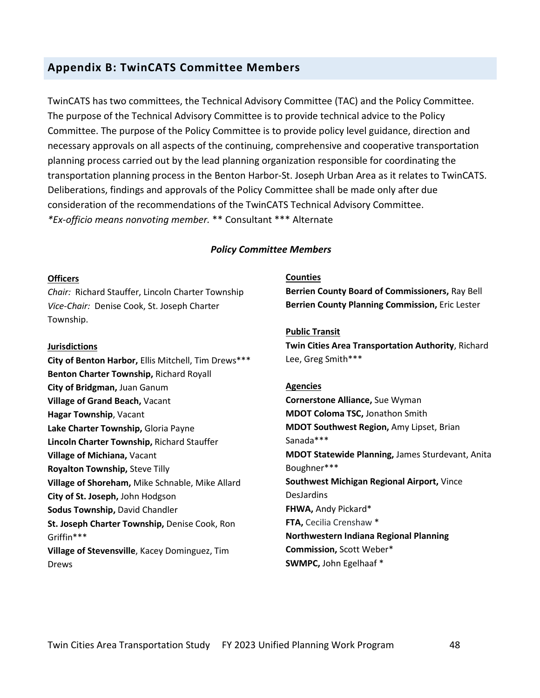#### **Appendix B: TwinCATS Committee Members**

TwinCATS has two committees, the Technical Advisory Committee (TAC) and the Policy Committee. The purpose of the Technical Advisory Committee is to provide technical advice to the Policy Committee. The purpose of the Policy Committee is to provide policy level guidance, direction and necessary approvals on all aspects of the continuing, comprehensive and cooperative transportation planning process carried out by the lead planning organization responsible for coordinating the transportation planning process in the Benton Harbor-St. Joseph Urban Area as it relates to TwinCATS. Deliberations, findings and approvals of the Policy Committee shall be made only after due consideration of the recommendations of the TwinCATS Technical Advisory Committee. *\*Ex-officio means nonvoting member.* \*\* Consultant \*\*\* Alternate

#### *Policy Committee Members*

#### **Officers**

*Chair:* Richard Stauffer, Lincoln Charter Township *Vice-Chair:* Denise Cook, St. Joseph Charter Township.

#### **Jurisdictions**

**City of Benton Harbor,** Ellis Mitchell, Tim Drews\*\*\* **Benton Charter Township,** Richard Royall **City of Bridgman,** Juan Ganum **Village of Grand Beach,** Vacant **Hagar Township**, Vacant **Lake Charter Township,** Gloria Payne **Lincoln Charter Township,** Richard Stauffer **Village of Michiana,** Vacant **Royalton Township,** Steve Tilly **Village of Shoreham,** Mike Schnable, Mike Allard **City of St. Joseph,** John Hodgson **Sodus Township,** David Chandler **St. Joseph Charter Township,** Denise Cook, Ron Griffin\*\*\* **Village of Stevensville**, Kacey Dominguez, Tim Drews

#### **Counties**

**Berrien County Board of Commissioners,** Ray Bell **Berrien County Planning Commission,** Eric Lester

#### **Public Transit**

**Twin Cities Area Transportation Authority**, Richard Lee, Greg Smith\*\*\*

#### **Agencies**

**Cornerstone Alliance,** Sue Wyman **MDOT Coloma TSC,** Jonathon Smith **MDOT Southwest Region,** Amy Lipset, Brian Sanada\*\*\* **MDOT Statewide Planning,** James Sturdevant, Anita Boughner\*\*\* **Southwest Michigan Regional Airport,** Vince DesJardins **FHWA,** Andy Pickard\* **FTA,** Cecilia Crenshaw \* **Northwestern Indiana Regional Planning Commission,** Scott Weber\* **SWMPC,** John Egelhaaf \*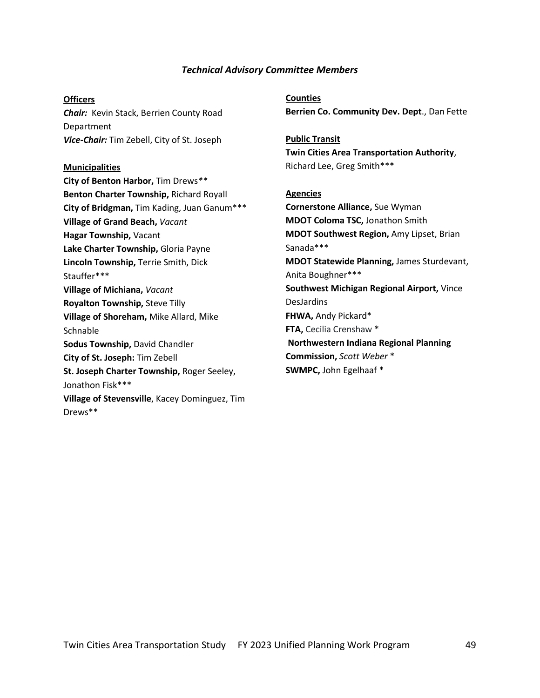#### *Technical Advisory Committee Members*

#### **Officers**

*Chair:* Kevin Stack, Berrien County Road Department *Vice-Chair:* Tim Zebell, City of St. Joseph

#### **Municipalities**

**City of Benton Harbor,** Tim Drews*\*\** **Benton Charter Township,** Richard Royall **City of Bridgman,** Tim Kading, Juan Ganum\*\*\* **Village of Grand Beach,** *Vacant* **Hagar Township,** Vacant **Lake Charter Township,** Gloria Payne **Lincoln Township,** Terrie Smith, Dick Stauffer\*\*\* **Village of Michiana,** *Vacant* **Royalton Township,** Steve Tilly **Village of Shoreham,** Mike Allard, Mike **Schnable Sodus Township,** David Chandler **City of St. Joseph:** Tim Zebell **St. Joseph Charter Township,** Roger Seeley, Jonathon Fisk\*\*\* **Village of Stevensville**, Kacey Dominguez, Tim Drews\*\*

**Counties Berrien Co. Community Dev. Dept**., Dan Fette

**Public Transit Twin Cities Area Transportation Authority**, Richard Lee, Greg Smith\*\*\*

#### **Agencies**

**Cornerstone Alliance,** Sue Wyman **MDOT Coloma TSC,** Jonathon Smith **MDOT Southwest Region,** Amy Lipset, Brian Sanada\*\*\* **MDOT Statewide Planning,** James Sturdevant, Anita Boughner\*\*\* **Southwest Michigan Regional Airport,** Vince DesJardins **FHWA,** Andy Pickard\* **FTA,** Cecilia Crenshaw \* **Northwestern Indiana Regional Planning Commission,** *Scott Weber* \* **SWMPC,** John Egelhaaf \*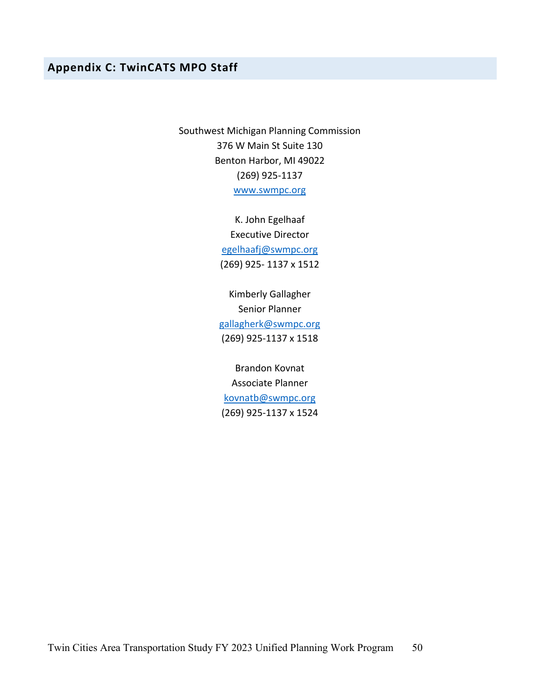### **Appendix C: TwinCATS MPO Staff**

Southwest Michigan Planning Commission 376 W Main St Suite 130 Benton Harbor, MI 49022 (269) 925-1137 www.swmpc.org

> K. John Egelhaaf Executive Director egelhaafj@swmpc.org (269) 925- 1137 x 1512

Kimberly Gallagher Senior Planner gallagherk@swmpc.org (269) 925-1137 x 1518

Brandon Kovnat Associate Planner kovnatb@swmpc.org (269) 925-1137 x 1524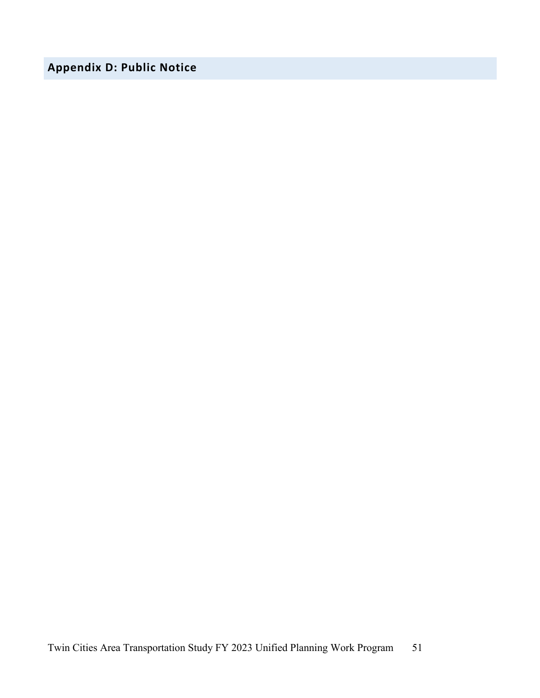# **Appendix D: Public Notice**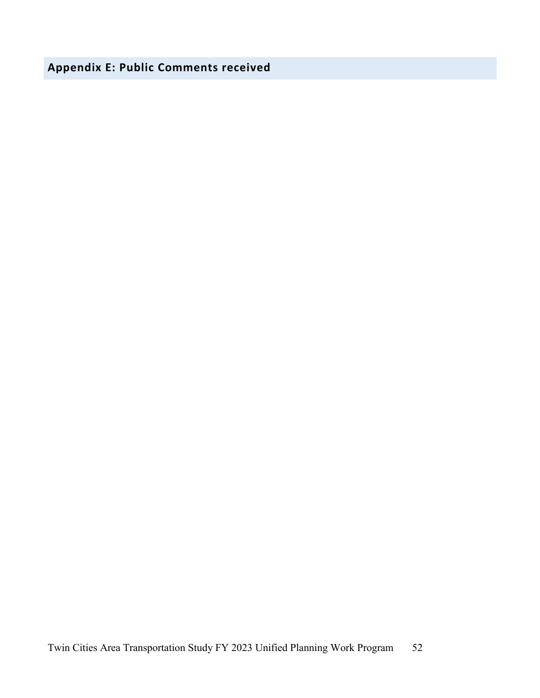**Appendix E: Public Comments received**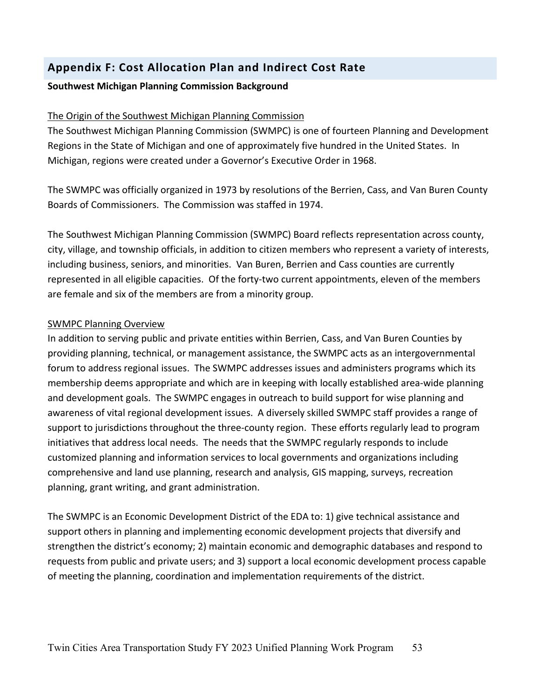# **Appendix F: Cost Allocation Plan and Indirect Cost Rate**

#### **Southwest Michigan Planning Commission Background**

#### The Origin of the Southwest Michigan Planning Commission

The Southwest Michigan Planning Commission (SWMPC) is one of fourteen Planning and Development Regions in the State of Michigan and one of approximately five hundred in the United States. In Michigan, regions were created under a Governor's Executive Order in 1968.

The SWMPC was officially organized in 1973 by resolutions of the Berrien, Cass, and Van Buren County Boards of Commissioners. The Commission was staffed in 1974.

The Southwest Michigan Planning Commission (SWMPC) Board reflects representation across county, city, village, and township officials, in addition to citizen members who represent a variety of interests, including business, seniors, and minorities. Van Buren, Berrien and Cass counties are currently represented in all eligible capacities. Of the forty-two current appointments, eleven of the members are female and six of the members are from a minority group.

#### SWMPC Planning Overview

In addition to serving public and private entities within Berrien, Cass, and Van Buren Counties by providing planning, technical, or management assistance, the SWMPC acts as an intergovernmental forum to address regional issues. The SWMPC addresses issues and administers programs which its membership deems appropriate and which are in keeping with locally established area-wide planning and development goals. The SWMPC engages in outreach to build support for wise planning and awareness of vital regional development issues. A diversely skilled SWMPC staff provides a range of support to jurisdictions throughout the three-county region. These efforts regularly lead to program initiatives that address local needs. The needs that the SWMPC regularly responds to include customized planning and information services to local governments and organizations including comprehensive and land use planning, research and analysis, GIS mapping, surveys, recreation planning, grant writing, and grant administration.

The SWMPC is an Economic Development District of the EDA to: 1) give technical assistance and support others in planning and implementing economic development projects that diversify and strengthen the district's economy; 2) maintain economic and demographic databases and respond to requests from public and private users; and 3) support a local economic development process capable of meeting the planning, coordination and implementation requirements of the district.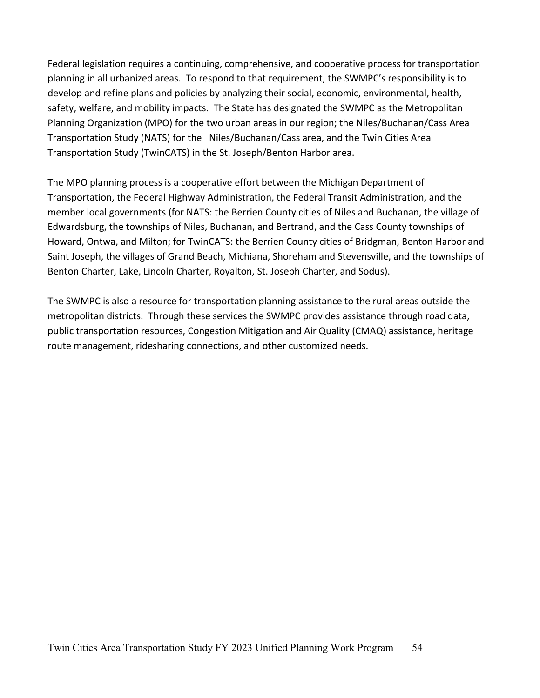Federal legislation requires a continuing, comprehensive, and cooperative process for transportation planning in all urbanized areas. To respond to that requirement, the SWMPC's responsibility is to develop and refine plans and policies by analyzing their social, economic, environmental, health, safety, welfare, and mobility impacts. The State has designated the SWMPC as the Metropolitan Planning Organization (MPO) for the two urban areas in our region; the Niles/Buchanan/Cass Area Transportation Study (NATS) for the Niles/Buchanan/Cass area, and the Twin Cities Area Transportation Study (TwinCATS) in the St. Joseph/Benton Harbor area.

The MPO planning process is a cooperative effort between the Michigan Department of Transportation, the Federal Highway Administration, the Federal Transit Administration, and the member local governments (for NATS: the Berrien County cities of Niles and Buchanan, the village of Edwardsburg, the townships of Niles, Buchanan, and Bertrand, and the Cass County townships of Howard, Ontwa, and Milton; for TwinCATS: the Berrien County cities of Bridgman, Benton Harbor and Saint Joseph, the villages of Grand Beach, Michiana, Shoreham and Stevensville, and the townships of Benton Charter, Lake, Lincoln Charter, Royalton, St. Joseph Charter, and Sodus).

The SWMPC is also a resource for transportation planning assistance to the rural areas outside the metropolitan districts. Through these services the SWMPC provides assistance through road data, public transportation resources, Congestion Mitigation and Air Quality (CMAQ) assistance, heritage route management, ridesharing connections, and other customized needs.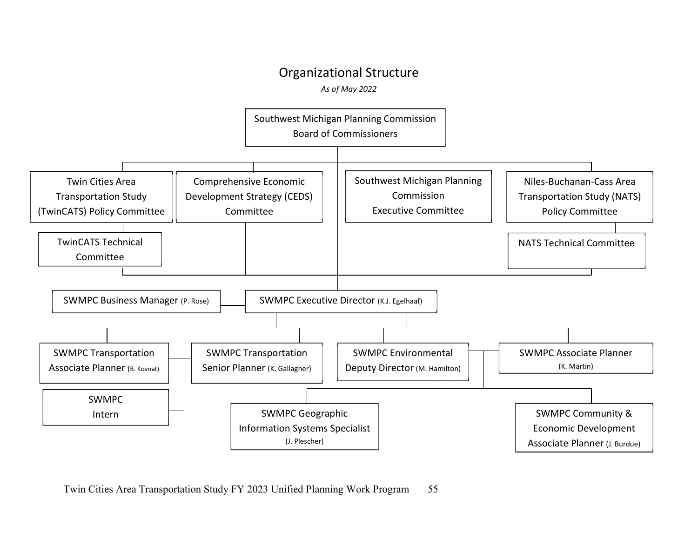# Organizational Structure

*As of May 2022*



Twin Cities Area Transportation Study FY 2023 Unified Planning Work Program 55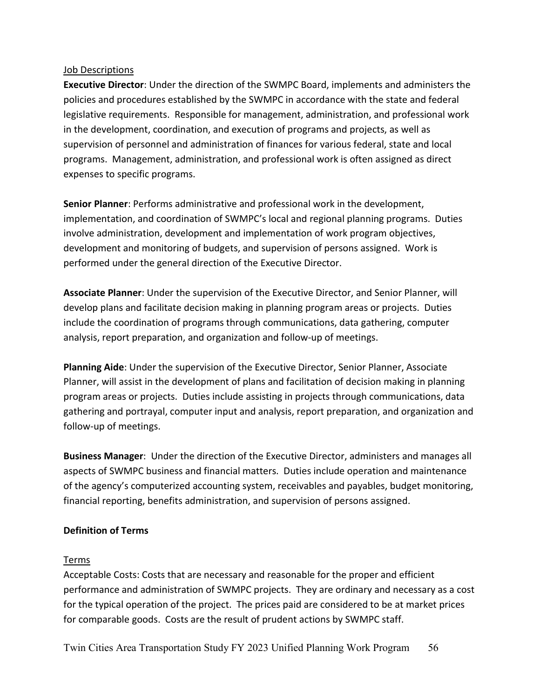#### Job Descriptions

**Executive Director**: Under the direction of the SWMPC Board, implements and administers the policies and procedures established by the SWMPC in accordance with the state and federal legislative requirements. Responsible for management, administration, and professional work in the development, coordination, and execution of programs and projects, as well as supervision of personnel and administration of finances for various federal, state and local programs. Management, administration, and professional work is often assigned as direct expenses to specific programs.

**Senior Planner**: Performs administrative and professional work in the development, implementation, and coordination of SWMPC's local and regional planning programs. Duties involve administration, development and implementation of work program objectives, development and monitoring of budgets, and supervision of persons assigned. Work is performed under the general direction of the Executive Director.

**Associate Planner**: Under the supervision of the Executive Director, and Senior Planner, will develop plans and facilitate decision making in planning program areas or projects. Duties include the coordination of programs through communications, data gathering, computer analysis, report preparation, and organization and follow-up of meetings.

**Planning Aide**: Under the supervision of the Executive Director, Senior Planner, Associate Planner, will assist in the development of plans and facilitation of decision making in planning program areas or projects. Duties include assisting in projects through communications, data gathering and portrayal, computer input and analysis, report preparation, and organization and follow-up of meetings.

**Business Manager**: Under the direction of the Executive Director, administers and manages all aspects of SWMPC business and financial matters. Duties include operation and maintenance of the agency's computerized accounting system, receivables and payables, budget monitoring, financial reporting, benefits administration, and supervision of persons assigned.

#### **Definition of Terms**

#### Terms

Acceptable Costs: Costs that are necessary and reasonable for the proper and efficient performance and administration of SWMPC projects. They are ordinary and necessary as a cost for the typical operation of the project. The prices paid are considered to be at market prices for comparable goods. Costs are the result of prudent actions by SWMPC staff.

Twin Cities Area Transportation Study FY 2023 Unified Planning Work Program 56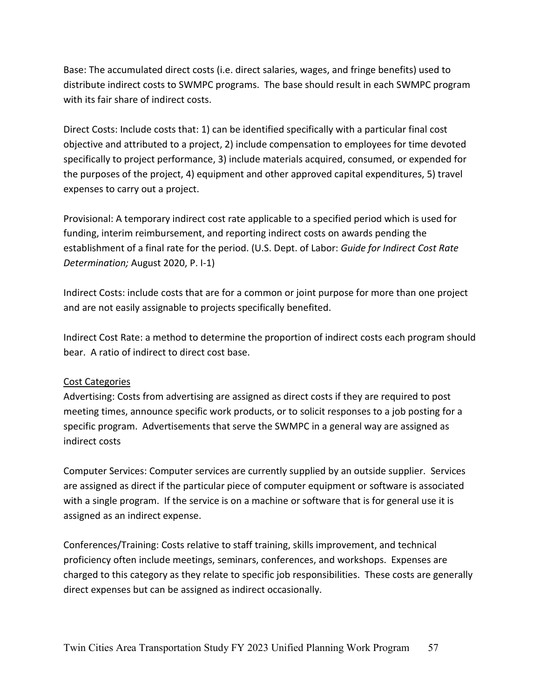Base: The accumulated direct costs (i.e. direct salaries, wages, and fringe benefits) used to distribute indirect costs to SWMPC programs. The base should result in each SWMPC program with its fair share of indirect costs.

Direct Costs: Include costs that: 1) can be identified specifically with a particular final cost objective and attributed to a project, 2) include compensation to employees for time devoted specifically to project performance, 3) include materials acquired, consumed, or expended for the purposes of the project, 4) equipment and other approved capital expenditures, 5) travel expenses to carry out a project.

Provisional: A temporary indirect cost rate applicable to a specified period which is used for funding, interim reimbursement, and reporting indirect costs on awards pending the establishment of a final rate for the period. (U.S. Dept. of Labor: *Guide for Indirect Cost Rate Determination;* August 2020, P. I-1)

Indirect Costs: include costs that are for a common or joint purpose for more than one project and are not easily assignable to projects specifically benefited.

Indirect Cost Rate: a method to determine the proportion of indirect costs each program should bear. A ratio of indirect to direct cost base.

#### Cost Categories

Advertising: Costs from advertising are assigned as direct costs if they are required to post meeting times, announce specific work products, or to solicit responses to a job posting for a specific program. Advertisements that serve the SWMPC in a general way are assigned as indirect costs

Computer Services: Computer services are currently supplied by an outside supplier. Services are assigned as direct if the particular piece of computer equipment or software is associated with a single program. If the service is on a machine or software that is for general use it is assigned as an indirect expense.

Conferences/Training: Costs relative to staff training, skills improvement, and technical proficiency often include meetings, seminars, conferences, and workshops. Expenses are charged to this category as they relate to specific job responsibilities. These costs are generally direct expenses but can be assigned as indirect occasionally.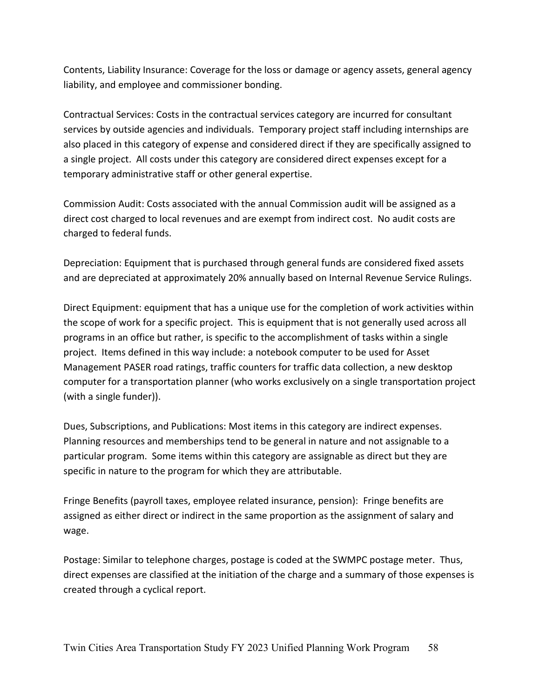Contents, Liability Insurance: Coverage for the loss or damage or agency assets, general agency liability, and employee and commissioner bonding.

Contractual Services: Costs in the contractual services category are incurred for consultant services by outside agencies and individuals. Temporary project staff including internships are also placed in this category of expense and considered direct if they are specifically assigned to a single project. All costs under this category are considered direct expenses except for a temporary administrative staff or other general expertise.

Commission Audit: Costs associated with the annual Commission audit will be assigned as a direct cost charged to local revenues and are exempt from indirect cost. No audit costs are charged to federal funds.

Depreciation: Equipment that is purchased through general funds are considered fixed assets and are depreciated at approximately 20% annually based on Internal Revenue Service Rulings.

Direct Equipment: equipment that has a unique use for the completion of work activities within the scope of work for a specific project. This is equipment that is not generally used across all programs in an office but rather, is specific to the accomplishment of tasks within a single project. Items defined in this way include: a notebook computer to be used for Asset Management PASER road ratings, traffic counters for traffic data collection, a new desktop computer for a transportation planner (who works exclusively on a single transportation project (with a single funder)).

Dues, Subscriptions, and Publications: Most items in this category are indirect expenses. Planning resources and memberships tend to be general in nature and not assignable to a particular program. Some items within this category are assignable as direct but they are specific in nature to the program for which they are attributable.

Fringe Benefits (payroll taxes, employee related insurance, pension): Fringe benefits are assigned as either direct or indirect in the same proportion as the assignment of salary and wage.

Postage: Similar to telephone charges, postage is coded at the SWMPC postage meter. Thus, direct expenses are classified at the initiation of the charge and a summary of those expenses is created through a cyclical report.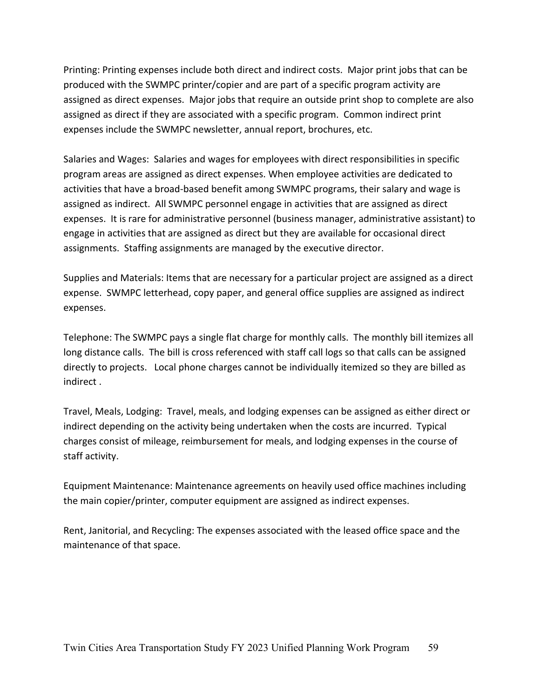Printing: Printing expenses include both direct and indirect costs. Major print jobs that can be produced with the SWMPC printer/copier and are part of a specific program activity are assigned as direct expenses. Major jobs that require an outside print shop to complete are also assigned as direct if they are associated with a specific program. Common indirect print expenses include the SWMPC newsletter, annual report, brochures, etc.

Salaries and Wages: Salaries and wages for employees with direct responsibilities in specific program areas are assigned as direct expenses. When employee activities are dedicated to activities that have a broad-based benefit among SWMPC programs, their salary and wage is assigned as indirect. All SWMPC personnel engage in activities that are assigned as direct expenses. It is rare for administrative personnel (business manager, administrative assistant) to engage in activities that are assigned as direct but they are available for occasional direct assignments. Staffing assignments are managed by the executive director.

Supplies and Materials: Items that are necessary for a particular project are assigned as a direct expense. SWMPC letterhead, copy paper, and general office supplies are assigned as indirect expenses.

Telephone: The SWMPC pays a single flat charge for monthly calls. The monthly bill itemizes all long distance calls. The bill is cross referenced with staff call logs so that calls can be assigned directly to projects. Local phone charges cannot be individually itemized so they are billed as indirect .

Travel, Meals, Lodging: Travel, meals, and lodging expenses can be assigned as either direct or indirect depending on the activity being undertaken when the costs are incurred. Typical charges consist of mileage, reimbursement for meals, and lodging expenses in the course of staff activity.

Equipment Maintenance: Maintenance agreements on heavily used office machines including the main copier/printer, computer equipment are assigned as indirect expenses.

Rent, Janitorial, and Recycling: The expenses associated with the leased office space and the maintenance of that space.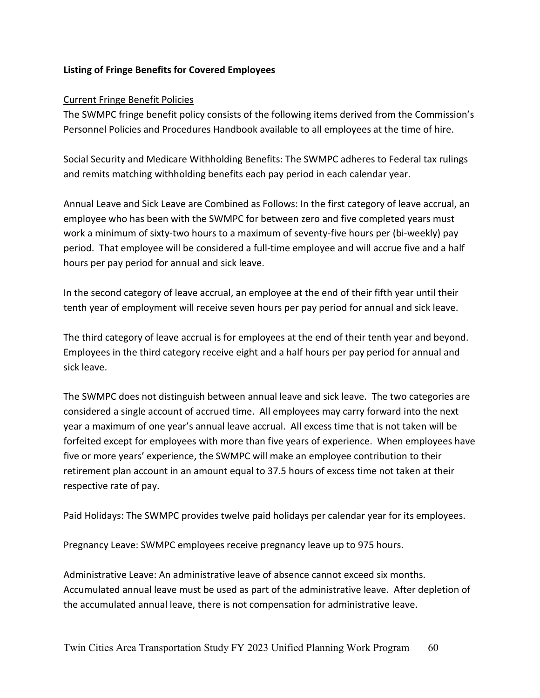#### **Listing of Fringe Benefits for Covered Employees**

#### Current Fringe Benefit Policies

The SWMPC fringe benefit policy consists of the following items derived from the Commission's Personnel Policies and Procedures Handbook available to all employees at the time of hire.

Social Security and Medicare Withholding Benefits: The SWMPC adheres to Federal tax rulings and remits matching withholding benefits each pay period in each calendar year.

Annual Leave and Sick Leave are Combined as Follows: In the first category of leave accrual, an employee who has been with the SWMPC for between zero and five completed years must work a minimum of sixty-two hours to a maximum of seventy-five hours per (bi-weekly) pay period. That employee will be considered a full-time employee and will accrue five and a half hours per pay period for annual and sick leave.

In the second category of leave accrual, an employee at the end of their fifth year until their tenth year of employment will receive seven hours per pay period for annual and sick leave.

The third category of leave accrual is for employees at the end of their tenth year and beyond. Employees in the third category receive eight and a half hours per pay period for annual and sick leave.

The SWMPC does not distinguish between annual leave and sick leave. The two categories are considered a single account of accrued time. All employees may carry forward into the next year a maximum of one year's annual leave accrual. All excess time that is not taken will be forfeited except for employees with more than five years of experience. When employees have five or more years' experience, the SWMPC will make an employee contribution to their retirement plan account in an amount equal to 37.5 hours of excess time not taken at their respective rate of pay.

Paid Holidays: The SWMPC provides twelve paid holidays per calendar year for its employees.

Pregnancy Leave: SWMPC employees receive pregnancy leave up to 975 hours.

Administrative Leave: An administrative leave of absence cannot exceed six months. Accumulated annual leave must be used as part of the administrative leave. After depletion of the accumulated annual leave, there is not compensation for administrative leave.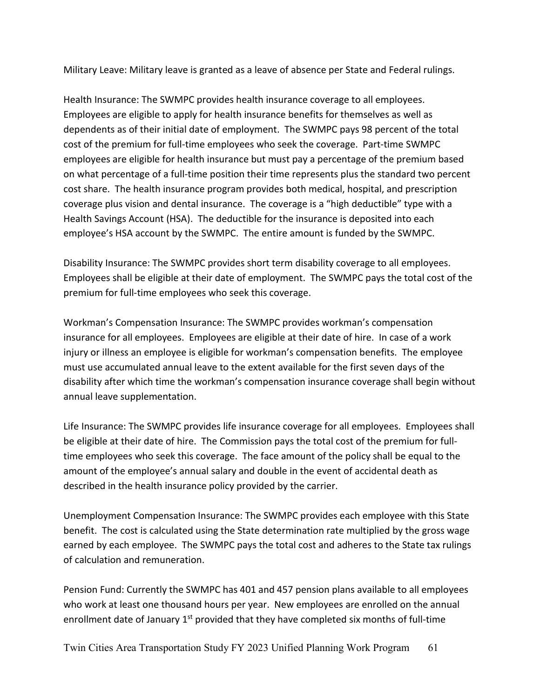Military Leave: Military leave is granted as a leave of absence per State and Federal rulings.

Health Insurance: The SWMPC provides health insurance coverage to all employees. Employees are eligible to apply for health insurance benefits for themselves as well as dependents as of their initial date of employment. The SWMPC pays 98 percent of the total cost of the premium for full-time employees who seek the coverage. Part-time SWMPC employees are eligible for health insurance but must pay a percentage of the premium based on what percentage of a full-time position their time represents plus the standard two percent cost share. The health insurance program provides both medical, hospital, and prescription coverage plus vision and dental insurance. The coverage is a "high deductible" type with a Health Savings Account (HSA). The deductible for the insurance is deposited into each employee's HSA account by the SWMPC. The entire amount is funded by the SWMPC.

Disability Insurance: The SWMPC provides short term disability coverage to all employees. Employees shall be eligible at their date of employment. The SWMPC pays the total cost of the premium for full-time employees who seek this coverage.

Workman's Compensation Insurance: The SWMPC provides workman's compensation insurance for all employees. Employees are eligible at their date of hire. In case of a work injury or illness an employee is eligible for workman's compensation benefits. The employee must use accumulated annual leave to the extent available for the first seven days of the disability after which time the workman's compensation insurance coverage shall begin without annual leave supplementation.

Life Insurance: The SWMPC provides life insurance coverage for all employees. Employees shall be eligible at their date of hire. The Commission pays the total cost of the premium for fulltime employees who seek this coverage. The face amount of the policy shall be equal to the amount of the employee's annual salary and double in the event of accidental death as described in the health insurance policy provided by the carrier.

Unemployment Compensation Insurance: The SWMPC provides each employee with this State benefit. The cost is calculated using the State determination rate multiplied by the gross wage earned by each employee. The SWMPC pays the total cost and adheres to the State tax rulings of calculation and remuneration.

Pension Fund: Currently the SWMPC has 401 and 457 pension plans available to all employees who work at least one thousand hours per year. New employees are enrolled on the annual enrollment date of January  $1<sup>st</sup>$  provided that they have completed six months of full-time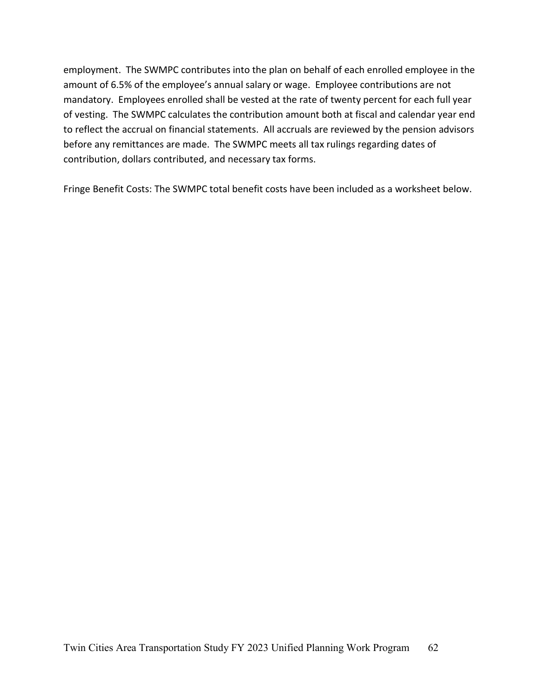employment. The SWMPC contributes into the plan on behalf of each enrolled employee in the amount of 6.5% of the employee's annual salary or wage. Employee contributions are not mandatory. Employees enrolled shall be vested at the rate of twenty percent for each full year of vesting. The SWMPC calculates the contribution amount both at fiscal and calendar year end to reflect the accrual on financial statements. All accruals are reviewed by the pension advisors before any remittances are made. The SWMPC meets all tax rulings regarding dates of contribution, dollars contributed, and necessary tax forms.

Fringe Benefit Costs: The SWMPC total benefit costs have been included as a worksheet below.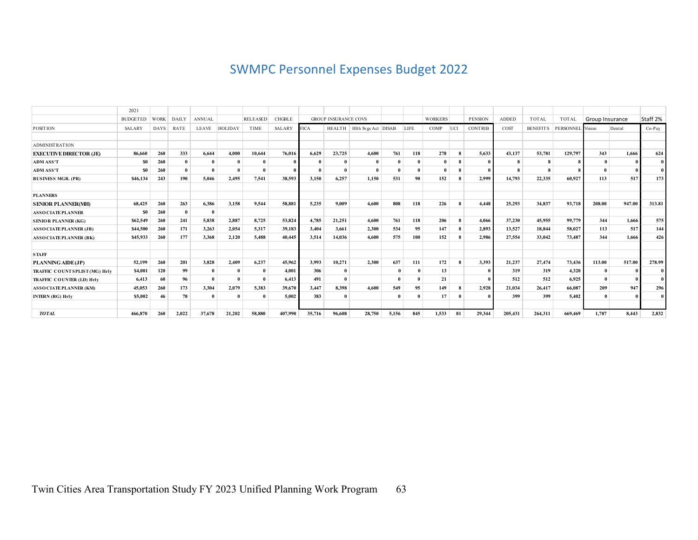# SWMPC Personnel Expenses Budget 2022

|                                  | 2021            |             |              |               |                |                 |               |             |                             |                                |          |             |                |          |                |              |                 |                  |                 |        |              |
|----------------------------------|-----------------|-------------|--------------|---------------|----------------|-----------------|---------------|-------------|-----------------------------|--------------------------------|----------|-------------|----------------|----------|----------------|--------------|-----------------|------------------|-----------------|--------|--------------|
|                                  | <b>BUDGETED</b> | <b>WORK</b> | <b>DAILY</b> | <b>ANNUAL</b> |                | <b>RELEASED</b> | <b>CHGBLE</b> |             | <b>GROUP INSURANCE COVS</b> |                                |          |             | <b>WORKERS</b> |          | <b>PENSION</b> | <b>ADDED</b> | <b>TOTAL</b>    | <b>TOTAL</b>     | Group Insurance |        | Staff 2%     |
| <b>POSITION</b>                  | <b>SALARY</b>   | <b>DAYS</b> | RATE         | LEAVE         | <b>HOLIDAY</b> | <b>TIME</b>     | <b>SALARY</b> | <b>FICA</b> |                             | HEALTH   Hlth Svgs Act   DISAB |          | <b>LIFE</b> | COMP           | UCI      | <b>CONTRIB</b> | COST         | <b>BENEFITS</b> | PERSONNEL Vision |                 | Dental | Co-Pay       |
|                                  |                 |             |              |               |                |                 |               |             |                             |                                |          |             |                |          |                |              |                 |                  |                 |        |              |
| <b>ADMINISTRATION</b>            |                 |             |              |               |                |                 |               |             |                             |                                |          |             |                |          |                |              |                 |                  |                 |        |              |
| <b>EXECUTIVE DIRECTOR (JE)</b>   | 86,660          | 260         | 333          | 6.644         | 4.000          | 10.644          | 76.016        | 6.629       | 23,725                      | 4.600                          | 761      | 118         | 278            | 8        | 5.633          | 43,137       | 53,781          | 129,797          | 343             | 1.666  | 624          |
| <b>ADM ASS'T</b>                 | S <sub>0</sub>  | 260         | $\mathbf{0}$ |               |                |                 |               |             | $\mathbf{0}$                |                                |          |             |                | 8        |                |              | 8               | 8                |                 |        | $\mathbf{0}$ |
| <b>ADM ASS'T</b>                 | S <sub>0</sub>  | 260         | $\mathbf{0}$ |               |                |                 |               |             | $\theta$                    |                                |          |             |                | 8        |                |              |                 |                  |                 |        | $\mathbf{0}$ |
| <b>BUSINESS MGR. (PR)</b>        | \$46,134        | 243         | 190          | 5.046         | 2.495          | 7,541           | 38.593        | 3,150       | 6,257                       | 1,150                          | 531      | 90          | 152            | 8        | 2.999          | 14,793       | 22,335          | 60.927           | 113             | 517    | 173          |
| <b>PLANNERS</b>                  |                 |             |              |               |                |                 |               |             |                             |                                |          |             |                |          |                |              |                 |                  |                 |        |              |
| <b>SENIOR PLANNER(MH)</b>        | 68.425          | 260         | 263          | 6.386         | 3,158          | 9.544           | 58,881        | 5,235       | 9,009                       | 4.600                          | 808      | 118         | 226            | 8        | 4.448          | 25,293       | 34,837          | 93,718           | 208.00          | 947.00 | 313.81       |
| <b>ASSO CIATE PLANNER</b>        | <b>SO</b>       | 260         | $\mathbf{0}$ | $\theta$      |                |                 |               |             |                             |                                |          |             |                |          |                |              |                 |                  |                 |        |              |
| <b>SENIOR PLANNER (KG)</b>       | \$62,549        | 260         | 241          | 5.838         | 2,887          | 8,725           | 53,824        | 4.785       | 21,251                      | 4.600                          | 761      | 118         | 206            | 8        | 4.066          | 37,230       | 45.955          | 99,779           | 344             | 1.666  | 575          |
| <b>ASSO CIATE PLANNER (JB)</b>   | \$44,500        | 260         | 171          | 3.263         | 2,054          | 5.317           | 39.183        | 3.404       | 3.661                       | 2,300                          | 534      | 95          | 147            | 8        | 2.893          | 13.527       | 18,844          | 58,027           | 113             | 517    | 144          |
| <b>ASSO CIATE PLANNER (BK)</b>   | \$45,933        | 260         | 177          | 3,368         | 2,120          | 5.488           | 40,445        | 3.514       | 14.036                      | 4.600                          | 575      | 100         | 152            | 8        | 2.986          | 27,554       | 33,042          | 73,487           | 344             | 1.666  | 426          |
| <b>STAFF</b>                     |                 |             |              |               |                |                 |               |             |                             |                                |          |             |                |          |                |              |                 |                  |                 |        |              |
| PLANNING AIDE(JP)                | 52,199          | 260         | 201          | 3.828         | 2.409          | 6.237           | 45.962        | 3.993       | 10.271                      | 2.300                          | 637      | 111         | 172            | 8        | 3.393          | 21,237       | 27,474          | 73,436           | 113.00          | 517.00 | 278.99       |
| TRAFFIC COUNT SPLIST (MG) Hrly   | \$4,001         | 120         | 99           |               |                |                 | 4,001         | 306         | $\mathbf{0}$                |                                |          |             | 13             |          |                | 319          | 319             | 4.320            |                 |        | $\mathbf{0}$ |
| <b>TRAFFIC COUNTER (LD) Hrly</b> | 6,413           | 60          | 96           |               |                |                 | 6,413         | 491         | $\mathbf{0}$                |                                |          |             | 21             |          |                | 512          | 512             | 6.925            |                 |        | $\theta$     |
| <b>ASSO CIATE PLANNER (KM)</b>   | 45,053          | 260         | 173          | 3.304         | 2,079          | 5,383           | 39,670        | 3,447       | 8,398                       | 4.600                          | 549      | 95          | 149            | 8        | 2.928          | 21.034       | 26,417          | 66,087           | 209             | 947    | 296          |
| <b>INTERN (RG) Hrly</b>          | \$5,002         | 46          | 78           | $\theta$      |                | $\theta$        | 5,002         | 383         | $\theta$                    |                                | $\theta$ |             | 17             | $\theta$ |                | 399          | 399             | 5,402            |                 |        | $\mathbf{0}$ |
| <b>TOTAL</b>                     | 466.870         | 260         | 2.022        | 37,678        | 21,202         | 58.880          | 407.990       | 35,716      | 96,608                      | 28,750                         | 5,156    | 845         | 1.533          | 81       | 29.344         | 205.431      | 264,311         | 669,469          | 1.787           | 8.443  | 2,832        |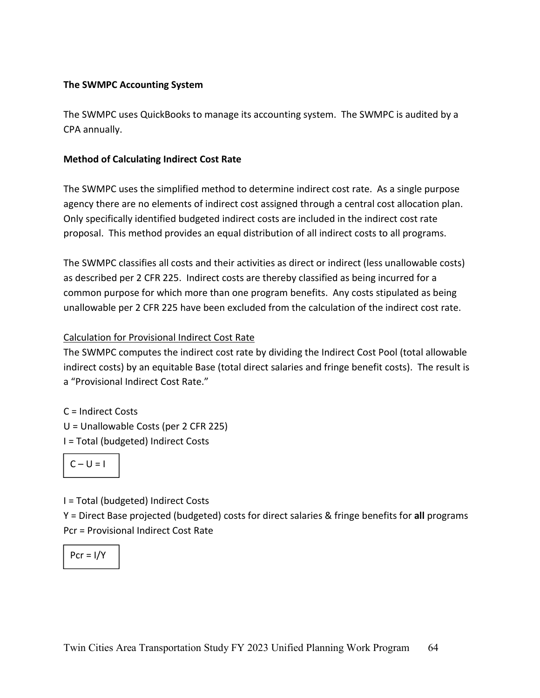#### **The SWMPC Accounting System**

The SWMPC uses QuickBooks to manage its accounting system. The SWMPC is audited by a CPA annually.

#### **Method of Calculating Indirect Cost Rate**

The SWMPC uses the simplified method to determine indirect cost rate. As a single purpose agency there are no elements of indirect cost assigned through a central cost allocation plan. Only specifically identified budgeted indirect costs are included in the indirect cost rate proposal. This method provides an equal distribution of all indirect costs to all programs.

The SWMPC classifies all costs and their activities as direct or indirect (less unallowable costs) as described per 2 CFR 225. Indirect costs are thereby classified as being incurred for a common purpose for which more than one program benefits. Any costs stipulated as being unallowable per 2 CFR 225 have been excluded from the calculation of the indirect cost rate.

#### Calculation for Provisional Indirect Cost Rate

The SWMPC computes the indirect cost rate by dividing the Indirect Cost Pool (total allowable indirect costs) by an equitable Base (total direct salaries and fringe benefit costs). The result is a "Provisional Indirect Cost Rate."

C = Indirect Costs U = Unallowable Costs (per 2 CFR 225)

I = Total (budgeted) Indirect Costs

$$
C-U=I
$$

I = Total (budgeted) Indirect Costs

Y = Direct Base projected (budgeted) costs for direct salaries & fringe benefits for **all** programs Pcr = Provisional Indirect Cost Rate

$$
Pcr=1/Y
$$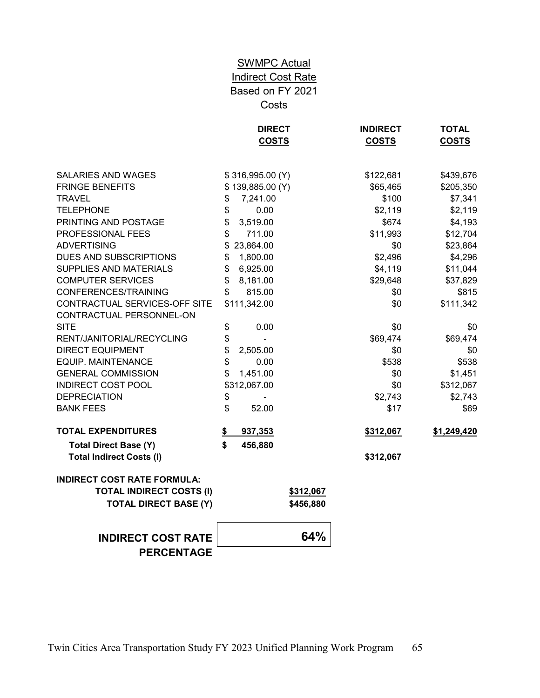# **SWMPC Actual** Indirect Cost Rate Based on FY 2021 Costs

| <b>SALARIES AND WAGES</b><br>\$316,995.00 (Y)<br>\$122,681<br>\$439,676<br><b>FRINGE BENEFITS</b><br>\$139,885.00 (Y)<br>\$205,350<br>\$65,465<br><b>TRAVEL</b><br>\$<br>7,241.00<br>\$100<br>\$7,341<br>\$<br>0.00<br><b>TELEPHONE</b><br>\$2,119<br>\$2,119<br>\$<br>PRINTING AND POSTAGE<br>3,519.00<br>\$674<br>\$4,193<br>$\mathfrak{S}$<br>PROFESSIONAL FEES<br>711.00<br>\$11,993<br>\$12,704<br><b>ADVERTISING</b><br>23,864.00<br>\$0<br>\$23,864<br>\$<br><b>DUES AND SUBSCRIPTIONS</b><br>\$4,296<br>1,800.00<br>\$2,496<br>\$<br>SUPPLIES AND MATERIALS<br>\$<br>6,925.00<br>\$4,119<br>\$11,044<br><b>COMPUTER SERVICES</b><br>8,181.00<br>\$<br>\$29,648<br>\$37,829<br>CONFERENCES/TRAINING<br>\$<br>815.00<br>\$0<br>\$815<br>CONTRACTUAL SERVICES-OFF SITE<br>\$111,342.00<br>\$0<br>\$111,342<br>CONTRACTUAL PERSONNEL-ON<br><b>SITE</b><br>\$<br>\$0<br>0.00<br>\$0<br>\$<br>RENT/JANITORIAL/RECYCLING<br>\$69,474<br>\$69,474<br>\$<br><b>DIRECT EQUIPMENT</b><br>2,505.00<br>\$0<br>\$0<br>\$<br><b>EQUIP. MAINTENANCE</b><br>0.00<br>\$538<br>\$538<br><b>GENERAL COMMISSION</b><br>\$<br>1,451.00<br>\$0<br>\$1,451<br><b>INDIRECT COST POOL</b><br>\$312,067.00<br>\$0<br>\$312,067<br><b>DEPRECIATION</b><br>\$<br>\$2,743<br>\$2,743<br>\$<br><b>BANK FEES</b><br>52.00<br>\$17<br>\$69<br><b>TOTAL EXPENDITURES</b><br>937,353<br>\$312,067<br>\$1,249,420<br>S.<br>\$<br>456,880<br><b>Total Direct Base (Y)</b><br><b>Total Indirect Costs (I)</b><br>\$312,067<br><b>INDIRECT COST RATE FORMULA:</b><br><b>TOTAL INDIRECT COSTS (I)</b><br>\$312,067<br><b>TOTAL DIRECT BASE (Y)</b><br>\$456,880<br>64%<br><b>INDIRECT COST RATE</b> |                   | <b>DIRECT</b><br><b>COSTS</b> | <b>INDIRECT</b><br><b>COSTS</b> | <b>TOTAL</b><br><b>COSTS</b> |
|---------------------------------------------------------------------------------------------------------------------------------------------------------------------------------------------------------------------------------------------------------------------------------------------------------------------------------------------------------------------------------------------------------------------------------------------------------------------------------------------------------------------------------------------------------------------------------------------------------------------------------------------------------------------------------------------------------------------------------------------------------------------------------------------------------------------------------------------------------------------------------------------------------------------------------------------------------------------------------------------------------------------------------------------------------------------------------------------------------------------------------------------------------------------------------------------------------------------------------------------------------------------------------------------------------------------------------------------------------------------------------------------------------------------------------------------------------------------------------------------------------------------------------------------------------------------------------------------------------------------------------------------------------------------|-------------------|-------------------------------|---------------------------------|------------------------------|
|                                                                                                                                                                                                                                                                                                                                                                                                                                                                                                                                                                                                                                                                                                                                                                                                                                                                                                                                                                                                                                                                                                                                                                                                                                                                                                                                                                                                                                                                                                                                                                                                                                                                     |                   |                               |                                 |                              |
|                                                                                                                                                                                                                                                                                                                                                                                                                                                                                                                                                                                                                                                                                                                                                                                                                                                                                                                                                                                                                                                                                                                                                                                                                                                                                                                                                                                                                                                                                                                                                                                                                                                                     |                   |                               |                                 |                              |
|                                                                                                                                                                                                                                                                                                                                                                                                                                                                                                                                                                                                                                                                                                                                                                                                                                                                                                                                                                                                                                                                                                                                                                                                                                                                                                                                                                                                                                                                                                                                                                                                                                                                     |                   |                               |                                 |                              |
|                                                                                                                                                                                                                                                                                                                                                                                                                                                                                                                                                                                                                                                                                                                                                                                                                                                                                                                                                                                                                                                                                                                                                                                                                                                                                                                                                                                                                                                                                                                                                                                                                                                                     |                   |                               |                                 |                              |
|                                                                                                                                                                                                                                                                                                                                                                                                                                                                                                                                                                                                                                                                                                                                                                                                                                                                                                                                                                                                                                                                                                                                                                                                                                                                                                                                                                                                                                                                                                                                                                                                                                                                     |                   |                               |                                 |                              |
|                                                                                                                                                                                                                                                                                                                                                                                                                                                                                                                                                                                                                                                                                                                                                                                                                                                                                                                                                                                                                                                                                                                                                                                                                                                                                                                                                                                                                                                                                                                                                                                                                                                                     |                   |                               |                                 |                              |
|                                                                                                                                                                                                                                                                                                                                                                                                                                                                                                                                                                                                                                                                                                                                                                                                                                                                                                                                                                                                                                                                                                                                                                                                                                                                                                                                                                                                                                                                                                                                                                                                                                                                     |                   |                               |                                 |                              |
|                                                                                                                                                                                                                                                                                                                                                                                                                                                                                                                                                                                                                                                                                                                                                                                                                                                                                                                                                                                                                                                                                                                                                                                                                                                                                                                                                                                                                                                                                                                                                                                                                                                                     |                   |                               |                                 |                              |
|                                                                                                                                                                                                                                                                                                                                                                                                                                                                                                                                                                                                                                                                                                                                                                                                                                                                                                                                                                                                                                                                                                                                                                                                                                                                                                                                                                                                                                                                                                                                                                                                                                                                     |                   |                               |                                 |                              |
|                                                                                                                                                                                                                                                                                                                                                                                                                                                                                                                                                                                                                                                                                                                                                                                                                                                                                                                                                                                                                                                                                                                                                                                                                                                                                                                                                                                                                                                                                                                                                                                                                                                                     |                   |                               |                                 |                              |
|                                                                                                                                                                                                                                                                                                                                                                                                                                                                                                                                                                                                                                                                                                                                                                                                                                                                                                                                                                                                                                                                                                                                                                                                                                                                                                                                                                                                                                                                                                                                                                                                                                                                     |                   |                               |                                 |                              |
|                                                                                                                                                                                                                                                                                                                                                                                                                                                                                                                                                                                                                                                                                                                                                                                                                                                                                                                                                                                                                                                                                                                                                                                                                                                                                                                                                                                                                                                                                                                                                                                                                                                                     |                   |                               |                                 |                              |
|                                                                                                                                                                                                                                                                                                                                                                                                                                                                                                                                                                                                                                                                                                                                                                                                                                                                                                                                                                                                                                                                                                                                                                                                                                                                                                                                                                                                                                                                                                                                                                                                                                                                     |                   |                               |                                 |                              |
|                                                                                                                                                                                                                                                                                                                                                                                                                                                                                                                                                                                                                                                                                                                                                                                                                                                                                                                                                                                                                                                                                                                                                                                                                                                                                                                                                                                                                                                                                                                                                                                                                                                                     |                   |                               |                                 |                              |
|                                                                                                                                                                                                                                                                                                                                                                                                                                                                                                                                                                                                                                                                                                                                                                                                                                                                                                                                                                                                                                                                                                                                                                                                                                                                                                                                                                                                                                                                                                                                                                                                                                                                     |                   |                               |                                 |                              |
|                                                                                                                                                                                                                                                                                                                                                                                                                                                                                                                                                                                                                                                                                                                                                                                                                                                                                                                                                                                                                                                                                                                                                                                                                                                                                                                                                                                                                                                                                                                                                                                                                                                                     |                   |                               |                                 |                              |
|                                                                                                                                                                                                                                                                                                                                                                                                                                                                                                                                                                                                                                                                                                                                                                                                                                                                                                                                                                                                                                                                                                                                                                                                                                                                                                                                                                                                                                                                                                                                                                                                                                                                     |                   |                               |                                 |                              |
|                                                                                                                                                                                                                                                                                                                                                                                                                                                                                                                                                                                                                                                                                                                                                                                                                                                                                                                                                                                                                                                                                                                                                                                                                                                                                                                                                                                                                                                                                                                                                                                                                                                                     |                   |                               |                                 |                              |
|                                                                                                                                                                                                                                                                                                                                                                                                                                                                                                                                                                                                                                                                                                                                                                                                                                                                                                                                                                                                                                                                                                                                                                                                                                                                                                                                                                                                                                                                                                                                                                                                                                                                     |                   |                               |                                 |                              |
|                                                                                                                                                                                                                                                                                                                                                                                                                                                                                                                                                                                                                                                                                                                                                                                                                                                                                                                                                                                                                                                                                                                                                                                                                                                                                                                                                                                                                                                                                                                                                                                                                                                                     |                   |                               |                                 |                              |
|                                                                                                                                                                                                                                                                                                                                                                                                                                                                                                                                                                                                                                                                                                                                                                                                                                                                                                                                                                                                                                                                                                                                                                                                                                                                                                                                                                                                                                                                                                                                                                                                                                                                     |                   |                               |                                 |                              |
|                                                                                                                                                                                                                                                                                                                                                                                                                                                                                                                                                                                                                                                                                                                                                                                                                                                                                                                                                                                                                                                                                                                                                                                                                                                                                                                                                                                                                                                                                                                                                                                                                                                                     |                   |                               |                                 |                              |
|                                                                                                                                                                                                                                                                                                                                                                                                                                                                                                                                                                                                                                                                                                                                                                                                                                                                                                                                                                                                                                                                                                                                                                                                                                                                                                                                                                                                                                                                                                                                                                                                                                                                     |                   |                               |                                 |                              |
|                                                                                                                                                                                                                                                                                                                                                                                                                                                                                                                                                                                                                                                                                                                                                                                                                                                                                                                                                                                                                                                                                                                                                                                                                                                                                                                                                                                                                                                                                                                                                                                                                                                                     |                   |                               |                                 |                              |
|                                                                                                                                                                                                                                                                                                                                                                                                                                                                                                                                                                                                                                                                                                                                                                                                                                                                                                                                                                                                                                                                                                                                                                                                                                                                                                                                                                                                                                                                                                                                                                                                                                                                     |                   |                               |                                 |                              |
|                                                                                                                                                                                                                                                                                                                                                                                                                                                                                                                                                                                                                                                                                                                                                                                                                                                                                                                                                                                                                                                                                                                                                                                                                                                                                                                                                                                                                                                                                                                                                                                                                                                                     |                   |                               |                                 |                              |
|                                                                                                                                                                                                                                                                                                                                                                                                                                                                                                                                                                                                                                                                                                                                                                                                                                                                                                                                                                                                                                                                                                                                                                                                                                                                                                                                                                                                                                                                                                                                                                                                                                                                     |                   |                               |                                 |                              |
|                                                                                                                                                                                                                                                                                                                                                                                                                                                                                                                                                                                                                                                                                                                                                                                                                                                                                                                                                                                                                                                                                                                                                                                                                                                                                                                                                                                                                                                                                                                                                                                                                                                                     | <b>PERCENTAGE</b> |                               |                                 |                              |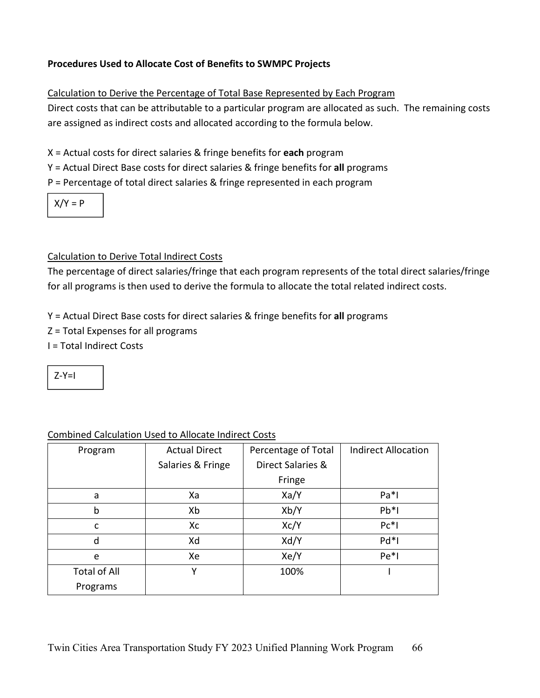#### **Procedures Used to Allocate Cost of Benefits to SWMPC Projects**

#### Calculation to Derive the Percentage of Total Base Represented by Each Program

Direct costs that can be attributable to a particular program are allocated as such. The remaining costs are assigned as indirect costs and allocated according to the formula below.

X = Actual costs for direct salaries & fringe benefits for **each** program

Y = Actual Direct Base costs for direct salaries & fringe benefits for **all** programs

P = Percentage of total direct salaries & fringe represented in each program

 $X/Y = P$ 

#### Calculation to Derive Total Indirect Costs

The percentage of direct salaries/fringe that each program represents of the total direct salaries/fringe for all programs is then used to derive the formula to allocate the total related indirect costs.

Y = Actual Direct Base costs for direct salaries & fringe benefits for **all** programs

- Z = Total Expenses for all programs
- I = Total Indirect Costs

 $7-Y=1$ 

| Program             | <b>Actual Direct</b> | Percentage of Total | <b>Indirect Allocation</b> |  |  |
|---------------------|----------------------|---------------------|----------------------------|--|--|
|                     |                      |                     |                            |  |  |
|                     | Salaries & Fringe    | Direct Salaries &   |                            |  |  |
|                     |                      | Fringe              |                            |  |  |
| a                   | Xa                   | Xa/Y                | $Pa*1$                     |  |  |
| b                   | Xb                   | Xb/Y                | $Pb*1$                     |  |  |
| C                   | Xc                   | Xc/Y                | $Pc*1$                     |  |  |
| d                   | Xd                   | Xd/Y                | $Pd*1$                     |  |  |
| e                   | Xe                   | Xe/Y                | $Pe*1$                     |  |  |
| <b>Total of All</b> | Y                    | 100%                |                            |  |  |
| Programs            |                      |                     |                            |  |  |

#### Combined Calculation Used to Allocate Indirect Costs